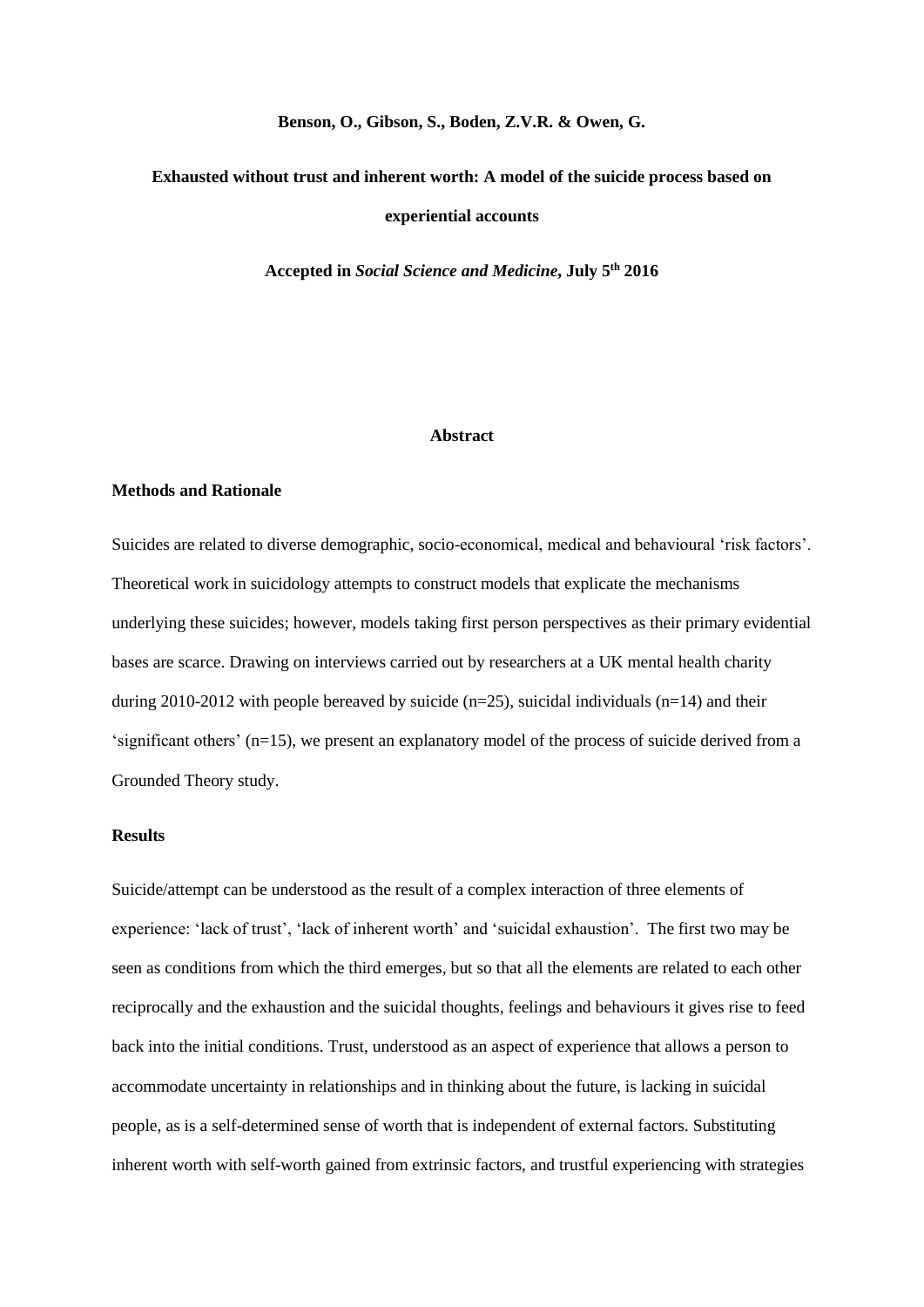#### **Benson, O., Gibson, S., Boden, Z.V.R. & Owen, G.**

# **Exhausted without trust and inherent worth: A model of the suicide process based on experiential accounts**

**Accepted in** *Social Science and Medicine***, July 5th 2016**

## **Abstract**

## **Methods and Rationale**

Suicides are related to diverse demographic, socio-economical, medical and behavioural 'risk factors'. Theoretical work in suicidology attempts to construct models that explicate the mechanisms underlying these suicides; however, models taking first person perspectives as their primary evidential bases are scarce. Drawing on interviews carried out by researchers at a UK mental health charity during 2010-2012 with people bereaved by suicide  $(n=25)$ , suicidal individuals  $(n=14)$  and their 'significant others' (n=15), we present an explanatory model of the process of suicide derived from a Grounded Theory study.

#### **Results**

Suicide/attempt can be understood as the result of a complex interaction of three elements of experience: 'lack of trust', 'lack of inherent worth' and 'suicidal exhaustion'. The first two may be seen as conditions from which the third emerges, but so that all the elements are related to each other reciprocally and the exhaustion and the suicidal thoughts, feelings and behaviours it gives rise to feed back into the initial conditions. Trust, understood as an aspect of experience that allows a person to accommodate uncertainty in relationships and in thinking about the future, is lacking in suicidal people, as is a self-determined sense of worth that is independent of external factors. Substituting inherent worth with self-worth gained from extrinsic factors, and trustful experiencing with strategies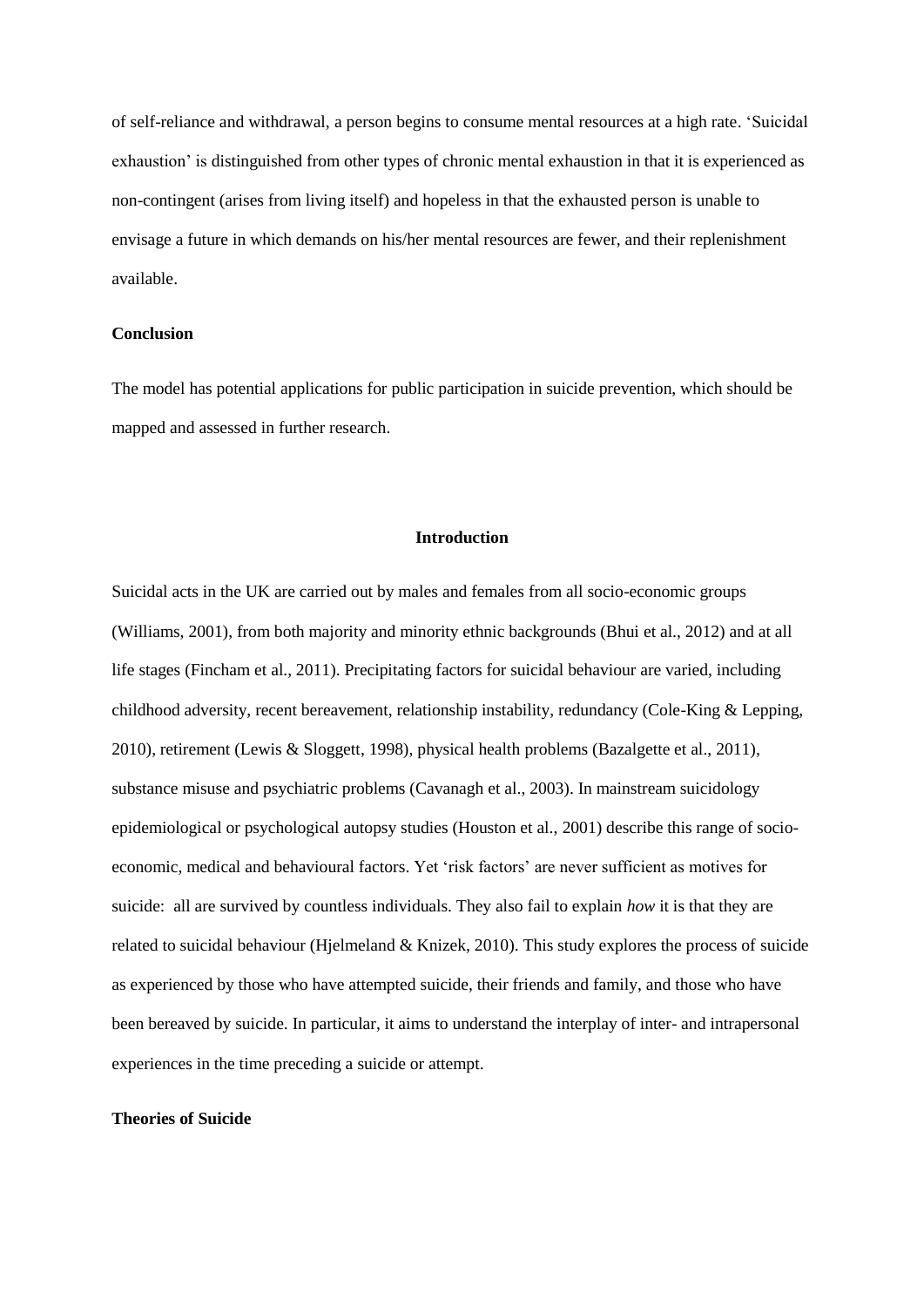of self-reliance and withdrawal, a person begins to consume mental resources at a high rate. 'Suicidal exhaustion' is distinguished from other types of chronic mental exhaustion in that it is experienced as non-contingent (arises from living itself) and hopeless in that the exhausted person is unable to envisage a future in which demands on his/her mental resources are fewer, and their replenishment available.

# **Conclusion**

The model has potential applications for public participation in suicide prevention, which should be mapped and assessed in further research.

## **Introduction**

Suicidal acts in the UK are carried out by males and females from all socio-economic groups (Williams, 2001), from both majority and minority ethnic backgrounds (Bhui et al., 2012) and at all life stages (Fincham et al., 2011). Precipitating factors for suicidal behaviour are varied, including childhood adversity, recent bereavement, relationship instability, redundancy (Cole-King & Lepping, 2010), retirement (Lewis & Sloggett, 1998), physical health problems (Bazalgette et al., 2011), substance misuse and psychiatric problems (Cavanagh et al., 2003). In mainstream suicidology epidemiological or psychological autopsy studies (Houston et al., 2001) describe this range of socioeconomic, medical and behavioural factors. Yet 'risk factors' are never sufficient as motives for suicide: all are survived by countless individuals. They also fail to explain *how* it is that they are related to suicidal behaviour (Hjelmeland & Knizek, 2010). This study explores the process of suicide as experienced by those who have attempted suicide, their friends and family, and those who have been bereaved by suicide. In particular, it aims to understand the interplay of inter- and intrapersonal experiences in the time preceding a suicide or attempt.

## **Theories of Suicide**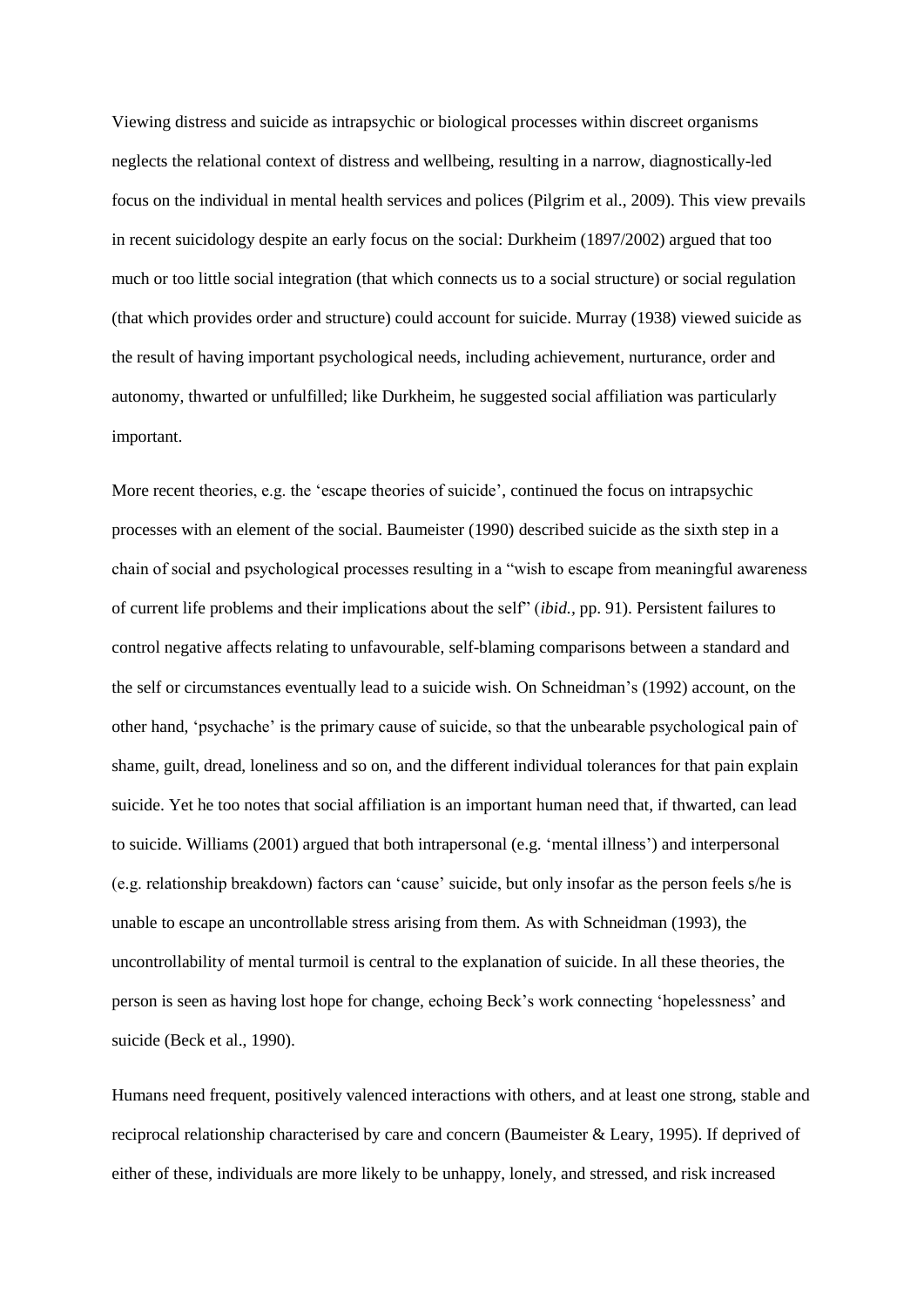Viewing distress and suicide as intrapsychic or biological processes within discreet organisms neglects the relational context of distress and wellbeing, resulting in a narrow, diagnostically-led focus on the individual in mental health services and polices (Pilgrim et al., 2009). This view prevails in recent suicidology despite an early focus on the social: Durkheim (1897/2002) argued that too much or too little social integration (that which connects us to a social structure) or social regulation (that which provides order and structure) could account for suicide. Murray (1938) viewed suicide as the result of having important psychological needs, including achievement, nurturance, order and autonomy, thwarted or unfulfilled; like Durkheim, he suggested social affiliation was particularly important.

More recent theories, e.g. the 'escape theories of suicide', continued the focus on intrapsychic processes with an element of the social. Baumeister (1990) described suicide as the sixth step in a chain of social and psychological processes resulting in a "wish to escape from meaningful awareness of current life problems and their implications about the self" (*ibid.,* pp. 91). Persistent failures to control negative affects relating to unfavourable, self-blaming comparisons between a standard and the self or circumstances eventually lead to a suicide wish. On Schneidman's (1992) account, on the other hand, 'psychache' is the primary cause of suicide, so that the unbearable psychological pain of shame, guilt, dread, loneliness and so on, and the different individual tolerances for that pain explain suicide. Yet he too notes that social affiliation is an important human need that, if thwarted, can lead to suicide. Williams (2001) argued that both intrapersonal (e.g. 'mental illness') and interpersonal (e.g. relationship breakdown) factors can 'cause' suicide, but only insofar as the person feels s/he is unable to escape an uncontrollable stress arising from them. As with Schneidman (1993), the uncontrollability of mental turmoil is central to the explanation of suicide. In all these theories, the person is seen as having lost hope for change, echoing Beck's work connecting 'hopelessness' and suicide (Beck et al., 1990).

Humans need frequent, positively valenced interactions with others, and at least one strong, stable and reciprocal relationship characterised by care and concern (Baumeister & Leary, 1995). If deprived of either of these, individuals are more likely to be unhappy, lonely, and stressed, and risk increased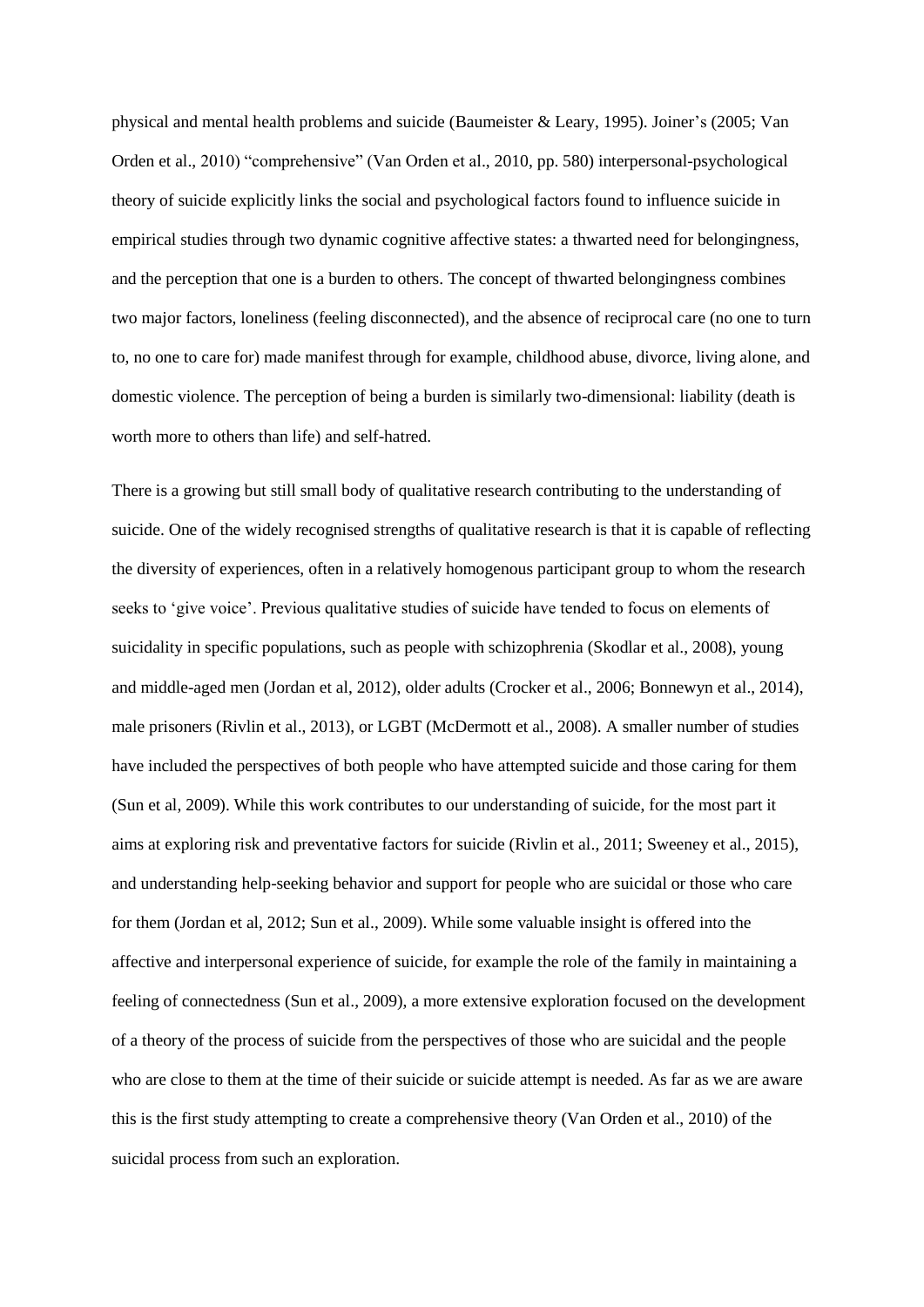physical and mental health problems and suicide (Baumeister & Leary, 1995). Joiner's (2005; Van Orden et al., 2010) "comprehensive" (Van Orden et al., 2010, pp. 580) interpersonal-psychological theory of suicide explicitly links the social and psychological factors found to influence suicide in empirical studies through two dynamic cognitive affective states: a thwarted need for belongingness, and the perception that one is a burden to others. The concept of thwarted belongingness combines two major factors, loneliness (feeling disconnected), and the absence of reciprocal care (no one to turn to, no one to care for) made manifest through for example, childhood abuse, divorce, living alone, and domestic violence. The perception of being a burden is similarly two-dimensional: liability (death is worth more to others than life) and self-hatred.

There is a growing but still small body of qualitative research contributing to the understanding of suicide. One of the widely recognised strengths of qualitative research is that it is capable of reflecting the diversity of experiences, often in a relatively homogenous participant group to whom the research seeks to 'give voice'. Previous qualitative studies of suicide have tended to focus on elements of suicidality in specific populations, such as people with schizophrenia (Skodlar et al., 2008), young and middle-aged men (Jordan et al, 2012), older adults (Crocker et al., 2006; Bonnewyn et al., 2014), male prisoners (Rivlin et al., 2013), or LGBT (McDermott et al., 2008). A smaller number of studies have included the perspectives of both people who have attempted suicide and those caring for them (Sun et al, 2009). While this work contributes to our understanding of suicide, for the most part it aims at exploring risk and preventative factors for suicide (Rivlin et al., 2011; Sweeney et al., 2015), and understanding help-seeking behavior and support for people who are suicidal or those who care for them (Jordan et al, 2012; Sun et al., 2009). While some valuable insight is offered into the affective and interpersonal experience of suicide, for example the role of the family in maintaining a feeling of connectedness (Sun et al., 2009), a more extensive exploration focused on the development of a theory of the process of suicide from the perspectives of those who are suicidal and the people who are close to them at the time of their suicide or suicide attempt is needed. As far as we are aware this is the first study attempting to create a comprehensive theory (Van Orden et al., 2010) of the suicidal process from such an exploration.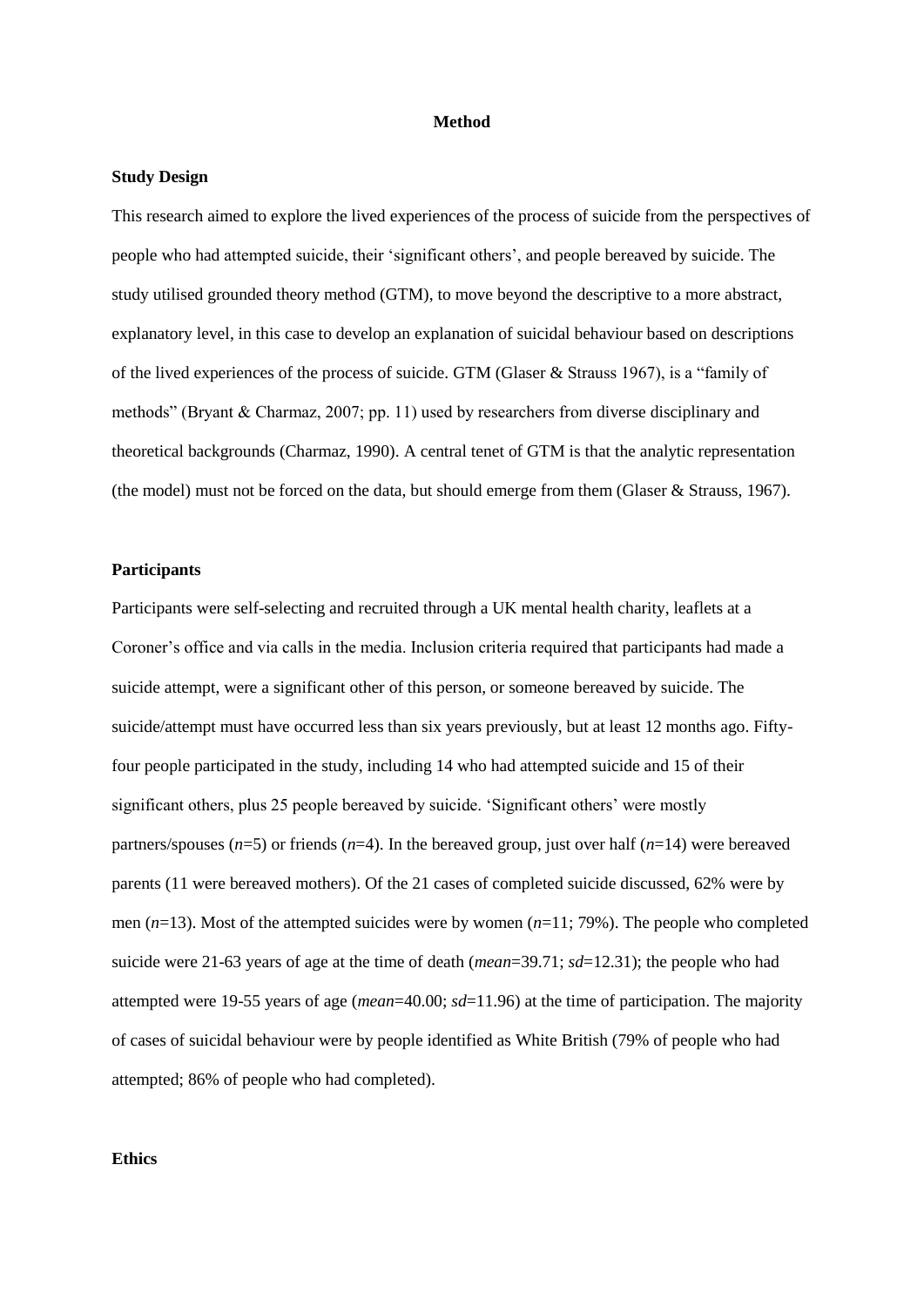#### **Method**

## **Study Design**

This research aimed to explore the lived experiences of the process of suicide from the perspectives of people who had attempted suicide, their 'significant others', and people bereaved by suicide. The study utilised grounded theory method (GTM), to move beyond the descriptive to a more abstract, explanatory level, in this case to develop an explanation of suicidal behaviour based on descriptions of the lived experiences of the process of suicide. GTM (Glaser & Strauss 1967), is a "family of methods" (Bryant & Charmaz, 2007; pp. 11) used by researchers from diverse disciplinary and theoretical backgrounds (Charmaz, 1990). A central tenet of GTM is that the analytic representation (the model) must not be forced on the data, but should emerge from them (Glaser & Strauss, 1967).

## **Participants**

Participants were self-selecting and recruited through a UK mental health charity, leaflets at a Coroner's office and via calls in the media. Inclusion criteria required that participants had made a suicide attempt, were a significant other of this person, or someone bereaved by suicide. The suicide/attempt must have occurred less than six years previously, but at least 12 months ago. Fiftyfour people participated in the study, including 14 who had attempted suicide and 15 of their significant others, plus 25 people bereaved by suicide. 'Significant others' were mostly partners/spouses (*n*=5) or friends (*n*=4). In the bereaved group, just over half (*n*=14) were bereaved parents (11 were bereaved mothers). Of the 21 cases of completed suicide discussed, 62% were by men (*n*=13). Most of the attempted suicides were by women (*n*=11; 79%). The people who completed suicide were 21-63 years of age at the time of death (*mean*=39.71; *sd*=12.31); the people who had attempted were 19-55 years of age (*mean*=40.00; *sd*=11.96) at the time of participation. The majority of cases of suicidal behaviour were by people identified as White British (79% of people who had attempted; 86% of people who had completed).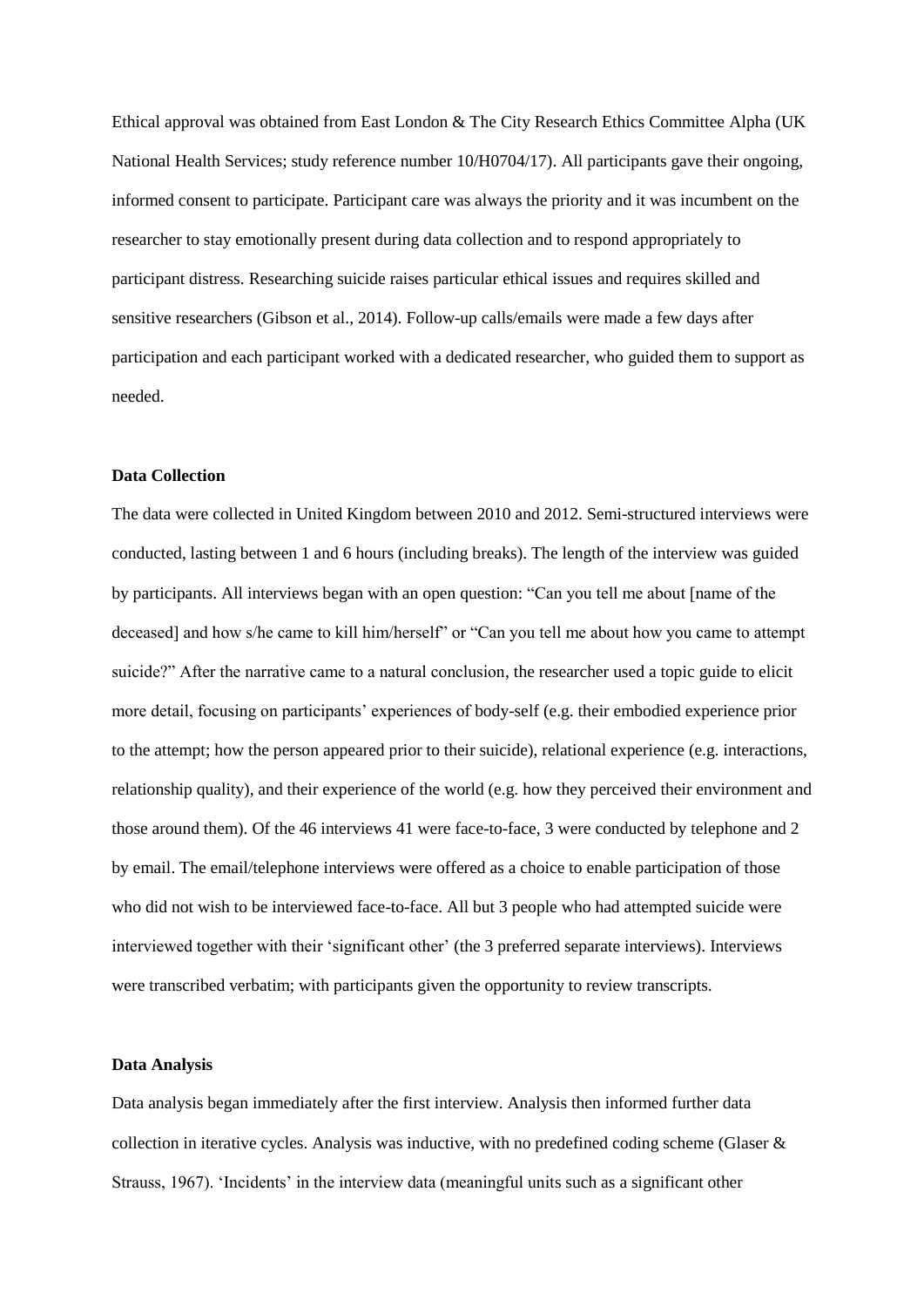Ethical approval was obtained from East London & The City Research Ethics Committee Alpha (UK National Health Services; study reference number 10/H0704/17). All participants gave their ongoing, informed consent to participate. Participant care was always the priority and it was incumbent on the researcher to stay emotionally present during data collection and to respond appropriately to participant distress. Researching suicide raises particular ethical issues and requires skilled and sensitive researchers (Gibson et al., 2014). Follow-up calls/emails were made a few days after participation and each participant worked with a dedicated researcher, who guided them to support as needed.

#### **Data Collection**

The data were collected in United Kingdom between 2010 and 2012. Semi-structured interviews were conducted, lasting between 1 and 6 hours (including breaks). The length of the interview was guided by participants. All interviews began with an open question: "Can you tell me about [name of the deceased] and how s/he came to kill him/herself" or "Can you tell me about how you came to attempt suicide?" After the narrative came to a natural conclusion, the researcher used a topic guide to elicit more detail, focusing on participants' experiences of body-self (e.g. their embodied experience prior to the attempt; how the person appeared prior to their suicide), relational experience (e.g. interactions, relationship quality), and their experience of the world (e.g. how they perceived their environment and those around them). Of the 46 interviews 41 were face-to-face, 3 were conducted by telephone and 2 by email. The email/telephone interviews were offered as a choice to enable participation of those who did not wish to be interviewed face-to-face. All but 3 people who had attempted suicide were interviewed together with their 'significant other' (the 3 preferred separate interviews). Interviews were transcribed verbatim; with participants given the opportunity to review transcripts.

#### **Data Analysis**

Data analysis began immediately after the first interview. Analysis then informed further data collection in iterative cycles. Analysis was inductive, with no predefined coding scheme (Glaser  $\&$ Strauss, 1967). 'Incidents' in the interview data (meaningful units such as a significant other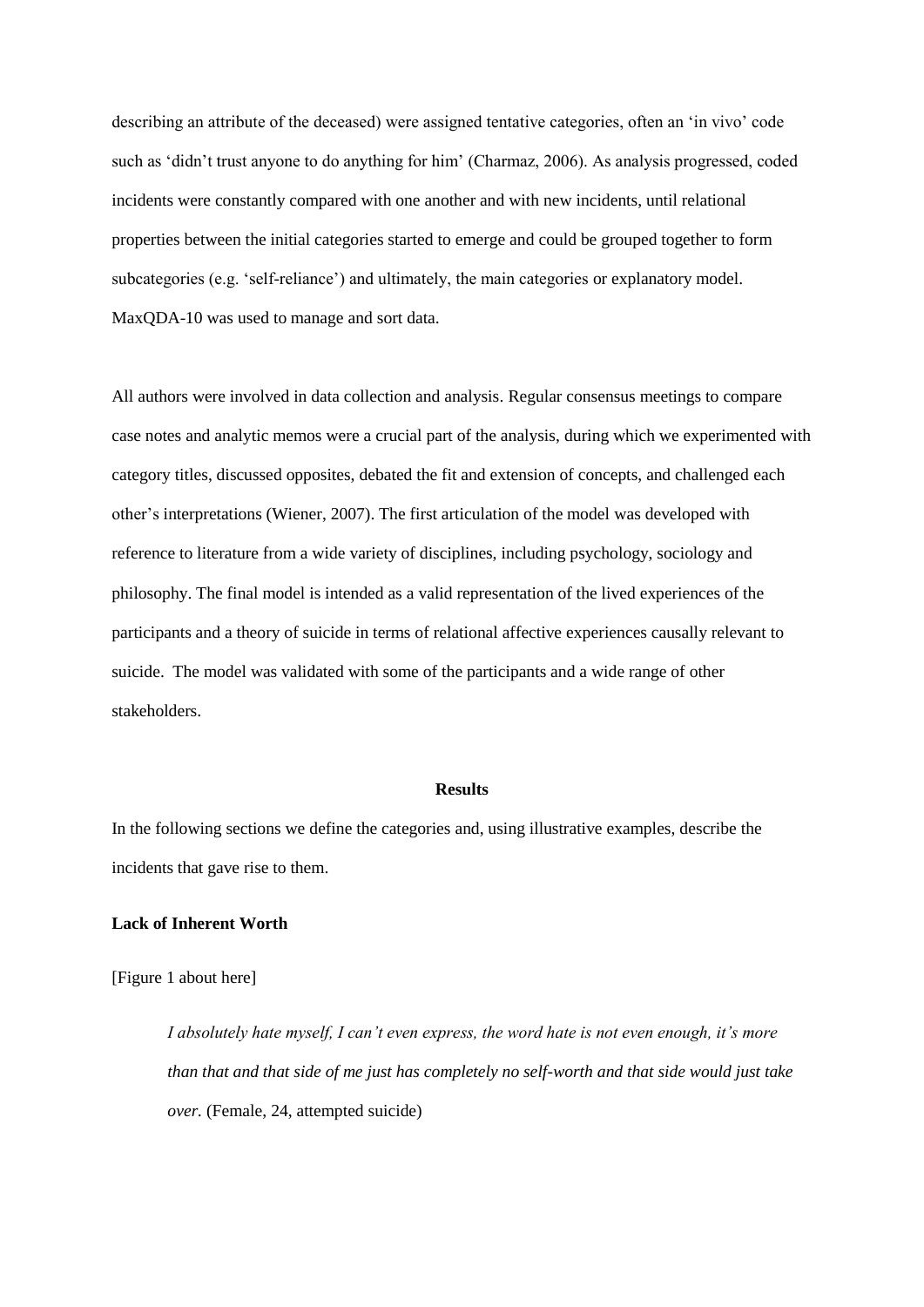describing an attribute of the deceased) were assigned tentative categories, often an 'in vivo' code such as 'didn't trust anyone to do anything for him' (Charmaz, 2006). As analysis progressed, coded incidents were constantly compared with one another and with new incidents, until relational properties between the initial categories started to emerge and could be grouped together to form subcategories (e.g. 'self-reliance') and ultimately, the main categories or explanatory model. MaxQDA-10 was used to manage and sort data.

All authors were involved in data collection and analysis. Regular consensus meetings to compare case notes and analytic memos were a crucial part of the analysis, during which we experimented with category titles, discussed opposites, debated the fit and extension of concepts, and challenged each other's interpretations (Wiener, 2007). The first articulation of the model was developed with reference to literature from a wide variety of disciplines, including psychology, sociology and philosophy. The final model is intended as a valid representation of the lived experiences of the participants and a theory of suicide in terms of relational affective experiences causally relevant to suicide. The model was validated with some of the participants and a wide range of other stakeholders.

#### **Results**

In the following sections we define the categories and, using illustrative examples, describe the incidents that gave rise to them.

#### **Lack of Inherent Worth**

[Figure 1 about here]

*I absolutely hate myself, I can't even express, the word hate is not even enough, it's more than that and that side of me just has completely no self-worth and that side would just take over.* (Female, 24, attempted suicide)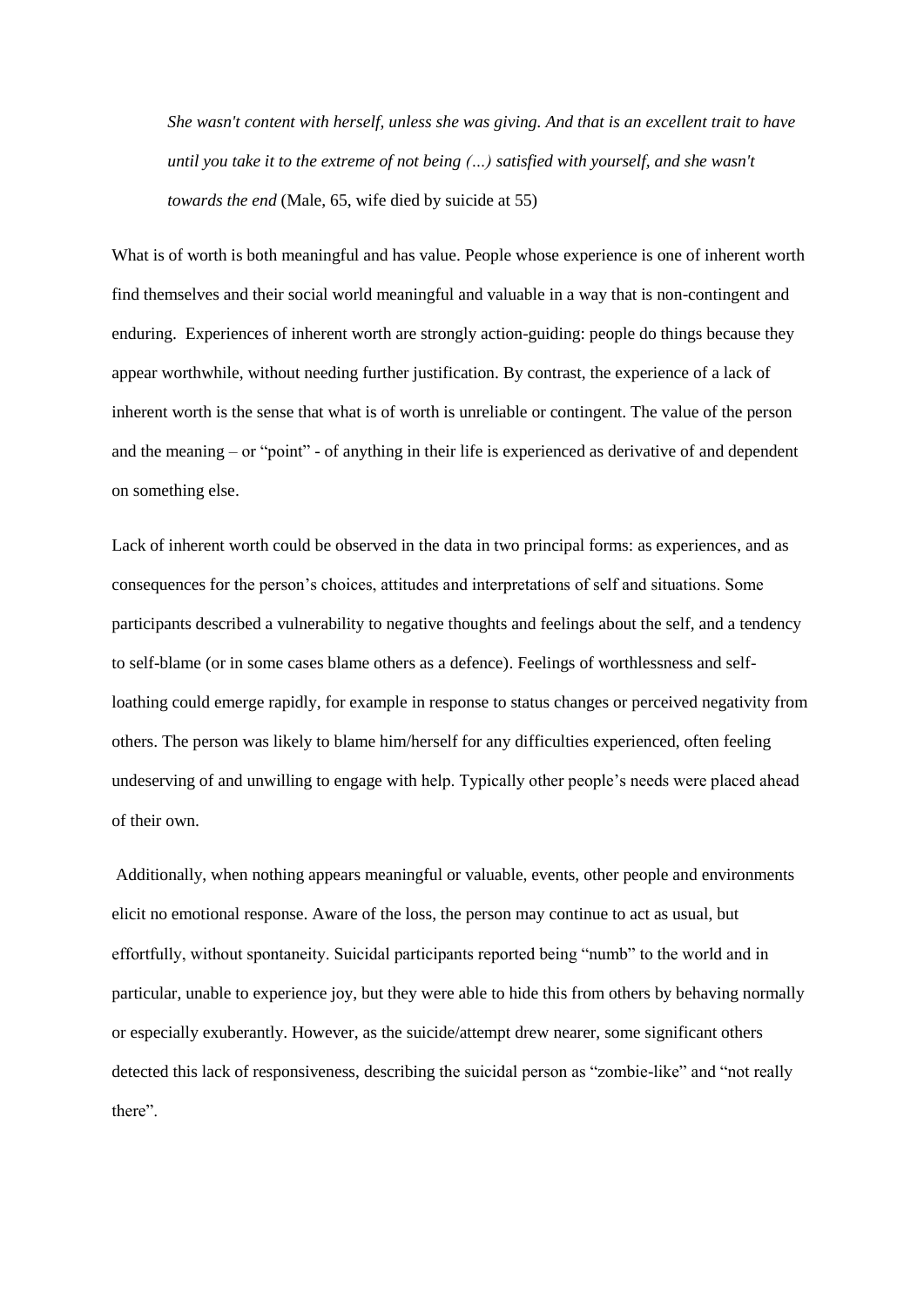*She wasn't content with herself, unless she was giving. And that is an excellent trait to have until you take it to the extreme of not being (…) satisfied with yourself, and she wasn't towards the end* (Male, 65, wife died by suicide at 55)

What is of worth is both meaningful and has value. People whose experience is one of inherent worth find themselves and their social world meaningful and valuable in a way that is non-contingent and enduring. Experiences of inherent worth are strongly action-guiding: people do things because they appear worthwhile, without needing further justification. By contrast, the experience of a lack of inherent worth is the sense that what is of worth is unreliable or contingent. The value of the person and the meaning – or "point" - of anything in their life is experienced as derivative of and dependent on something else.

Lack of inherent worth could be observed in the data in two principal forms: as experiences, and as consequences for the person's choices, attitudes and interpretations of self and situations. Some participants described a vulnerability to negative thoughts and feelings about the self, and a tendency to self-blame (or in some cases blame others as a defence). Feelings of worthlessness and selfloathing could emerge rapidly, for example in response to status changes or perceived negativity from others. The person was likely to blame him/herself for any difficulties experienced, often feeling undeserving of and unwilling to engage with help. Typically other people's needs were placed ahead of their own.

Additionally, when nothing appears meaningful or valuable, events, other people and environments elicit no emotional response. Aware of the loss, the person may continue to act as usual, but effortfully, without spontaneity. Suicidal participants reported being "numb" to the world and in particular, unable to experience joy, but they were able to hide this from others by behaving normally or especially exuberantly. However, as the suicide/attempt drew nearer, some significant others detected this lack of responsiveness, describing the suicidal person as "zombie-like" and "not really there".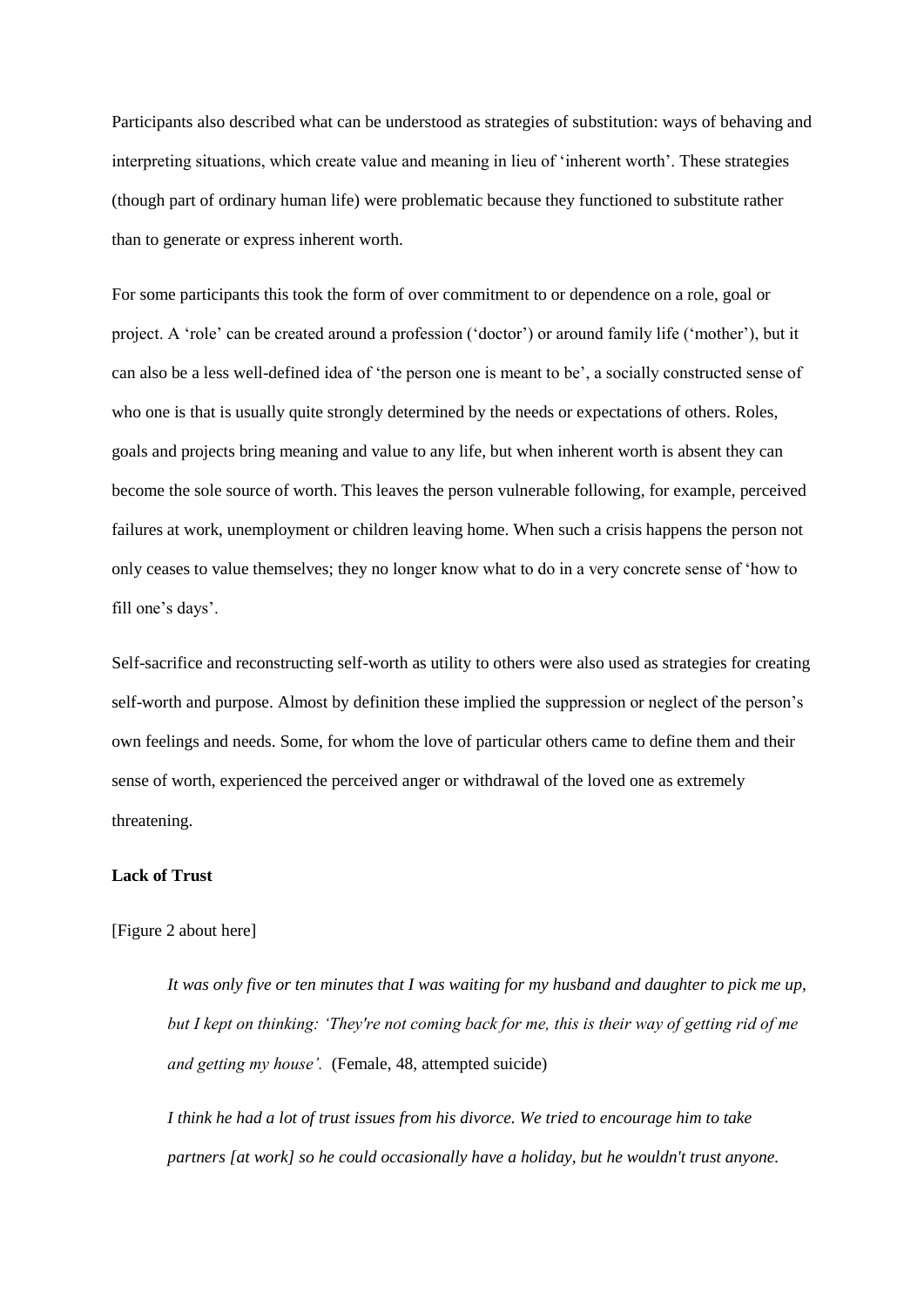Participants also described what can be understood as strategies of substitution: ways of behaving and interpreting situations, which create value and meaning in lieu of 'inherent worth'. These strategies (though part of ordinary human life) were problematic because they functioned to substitute rather than to generate or express inherent worth.

For some participants this took the form of over commitment to or dependence on a role, goal or project. A 'role' can be created around a profession ('doctor') or around family life ('mother'), but it can also be a less well-defined idea of 'the person one is meant to be', a socially constructed sense of who one is that is usually quite strongly determined by the needs or expectations of others. Roles, goals and projects bring meaning and value to any life, but when inherent worth is absent they can become the sole source of worth. This leaves the person vulnerable following, for example, perceived failures at work, unemployment or children leaving home. When such a crisis happens the person not only ceases to value themselves; they no longer know what to do in a very concrete sense of 'how to fill one's days'.

Self-sacrifice and reconstructing self-worth as utility to others were also used as strategies for creating self-worth and purpose. Almost by definition these implied the suppression or neglect of the person's own feelings and needs. Some, for whom the love of particular others came to define them and their sense of worth, experienced the perceived anger or withdrawal of the loved one as extremely threatening.

# **Lack of Trust**

## [Figure 2 about here]

*It was only five or ten minutes that I was waiting for my husband and daughter to pick me up, but I kept on thinking: 'They're not coming back for me, this is their way of getting rid of me and getting my house'.* (Female, 48, attempted suicide)

*I think he had a lot of trust issues from his divorce. We tried to encourage him to take partners [at work] so he could occasionally have a holiday, but he wouldn't trust anyone.*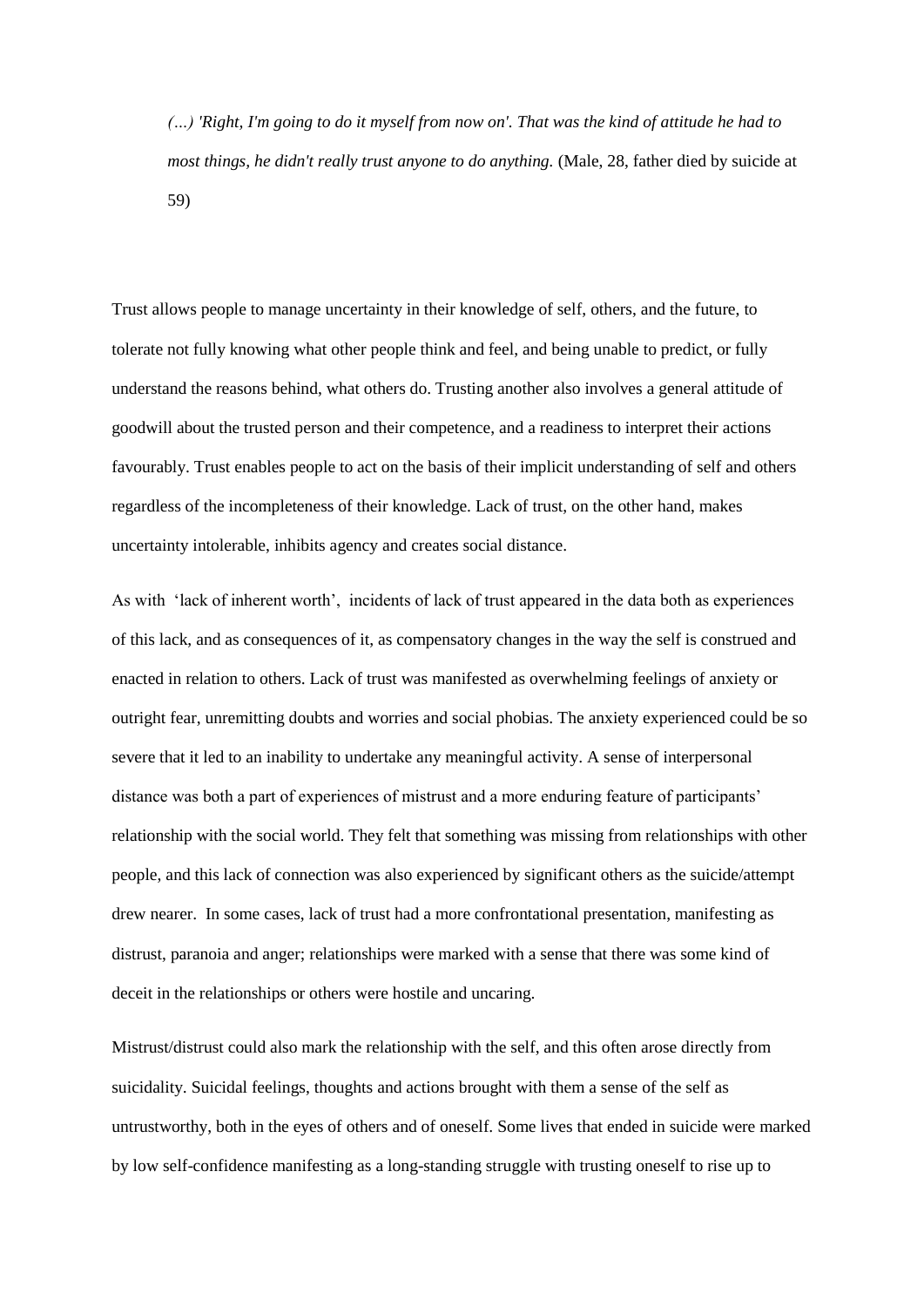*(…) 'Right, I'm going to do it myself from now on'. That was the kind of attitude he had to most things, he didn't really trust anyone to do anything.* (Male, 28, father died by suicide at 59)

Trust allows people to manage uncertainty in their knowledge of self, others, and the future, to tolerate not fully knowing what other people think and feel, and being unable to predict, or fully understand the reasons behind, what others do. Trusting another also involves a general attitude of goodwill about the trusted person and their competence, and a readiness to interpret their actions favourably. Trust enables people to act on the basis of their implicit understanding of self and others regardless of the incompleteness of their knowledge. Lack of trust, on the other hand, makes uncertainty intolerable, inhibits agency and creates social distance.

As with 'lack of inherent worth', incidents of lack of trust appeared in the data both as experiences of this lack, and as consequences of it, as compensatory changes in the way the self is construed and enacted in relation to others. Lack of trust was manifested as overwhelming feelings of anxiety or outright fear, unremitting doubts and worries and social phobias. The anxiety experienced could be so severe that it led to an inability to undertake any meaningful activity. A sense of interpersonal distance was both a part of experiences of mistrust and a more enduring feature of participants' relationship with the social world. They felt that something was missing from relationships with other people, and this lack of connection was also experienced by significant others as the suicide/attempt drew nearer. In some cases, lack of trust had a more confrontational presentation, manifesting as distrust, paranoia and anger; relationships were marked with a sense that there was some kind of deceit in the relationships or others were hostile and uncaring.

Mistrust/distrust could also mark the relationship with the self, and this often arose directly from suicidality. Suicidal feelings, thoughts and actions brought with them a sense of the self as untrustworthy, both in the eyes of others and of oneself. Some lives that ended in suicide were marked by low self-confidence manifesting as a long-standing struggle with trusting oneself to rise up to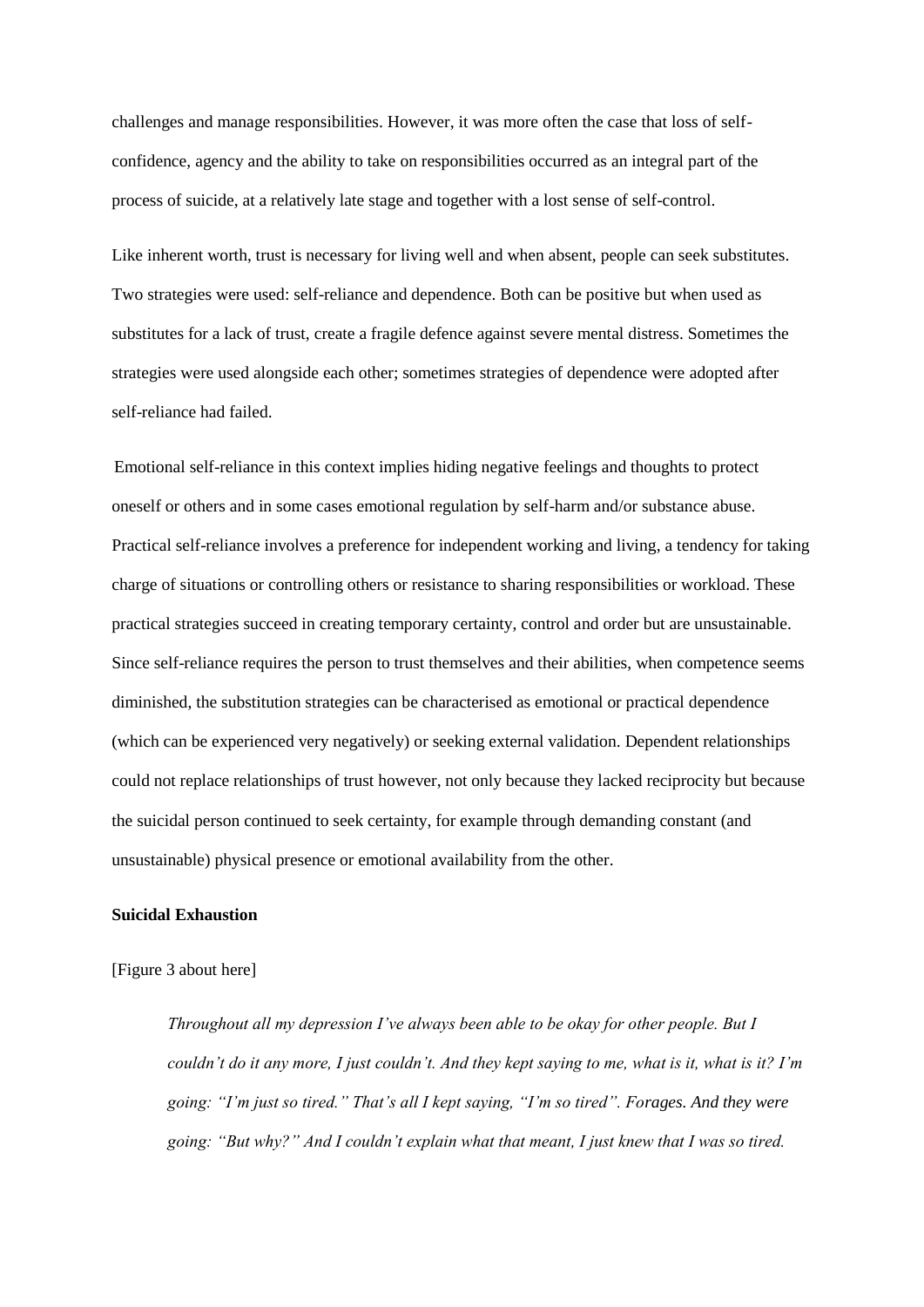challenges and manage responsibilities. However, it was more often the case that loss of selfconfidence, agency and the ability to take on responsibilities occurred as an integral part of the process of suicide, at a relatively late stage and together with a lost sense of self-control.

Like inherent worth, trust is necessary for living well and when absent, people can seek substitutes. Two strategies were used: self-reliance and dependence. Both can be positive but when used as substitutes for a lack of trust, create a fragile defence against severe mental distress. Sometimes the strategies were used alongside each other; sometimes strategies of dependence were adopted after self-reliance had failed.

Emotional self-reliance in this context implies hiding negative feelings and thoughts to protect oneself or others and in some cases emotional regulation by self-harm and/or substance abuse. Practical self-reliance involves a preference for independent working and living, a tendency for taking charge of situations or controlling others or resistance to sharing responsibilities or workload. These practical strategies succeed in creating temporary certainty, control and order but are unsustainable. Since self-reliance requires the person to trust themselves and their abilities, when competence seems diminished, the substitution strategies can be characterised as emotional or practical dependence (which can be experienced very negatively) or seeking external validation. Dependent relationships could not replace relationships of trust however, not only because they lacked reciprocity but because the suicidal person continued to seek certainty, for example through demanding constant (and unsustainable) physical presence or emotional availability from the other.

## **Suicidal Exhaustion**

[Figure 3 about here]

*Throughout all my depression I've always been able to be okay for other people. But I couldn't do it any more, I just couldn't. And they kept saying to me, what is it, what is it? I'm going: "I'm just so tired." That's all I kept saying, "I'm so tired". Forages. And they were going: "But why?" And I couldn't explain what that meant, I just knew that I was so tired.*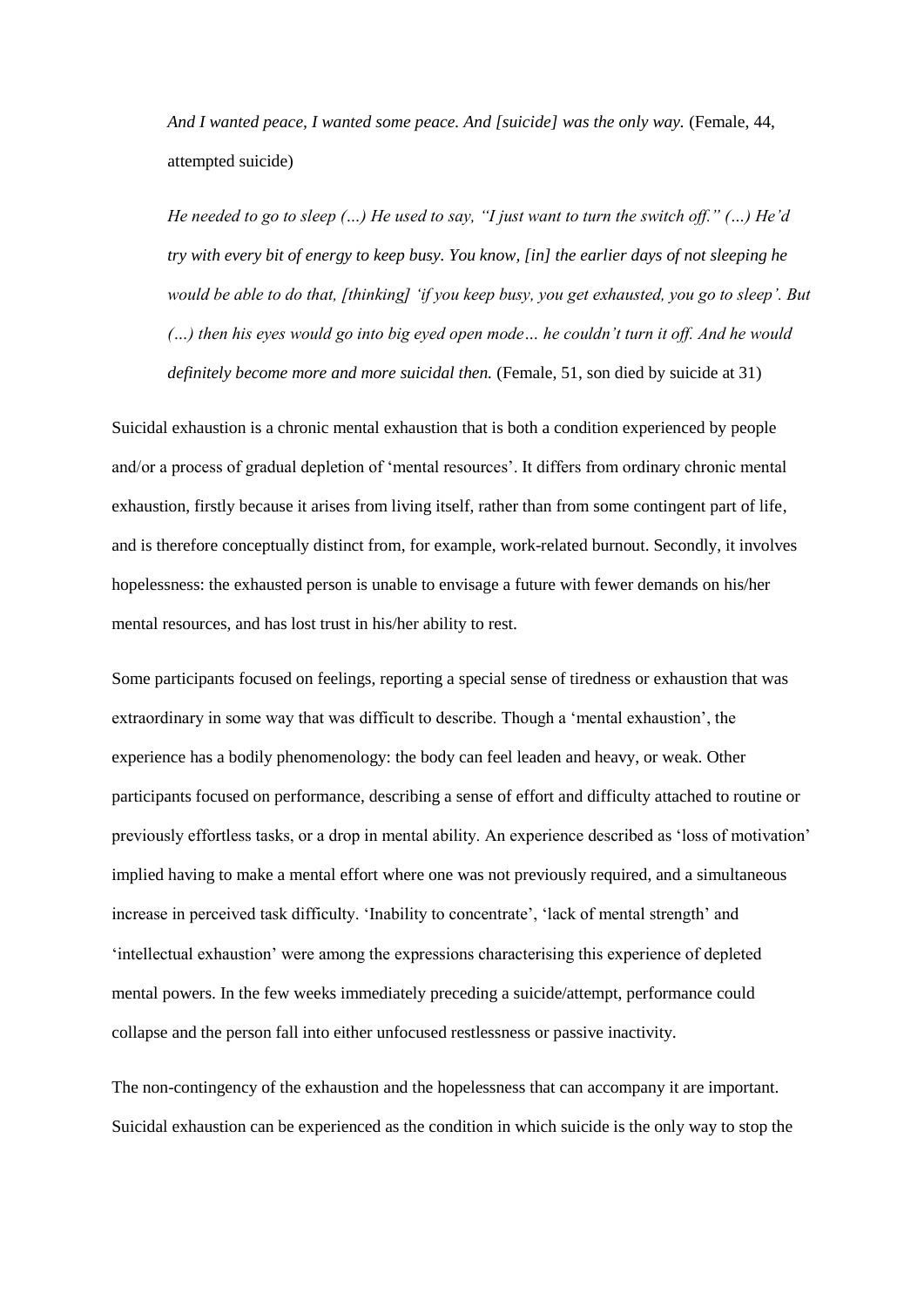*And I wanted peace, I wanted some peace. And [suicide] was the only way.* (Female, 44, attempted suicide)

*He needed to go to sleep (…) He used to say, "I just want to turn the switch off." (…) He'd try with every bit of energy to keep busy. You know, [in] the earlier days of not sleeping he would be able to do that, [thinking] 'if you keep busy, you get exhausted, you go to sleep'. But (…) then his eyes would go into big eyed open mode… he couldn't turn it off. And he would definitely become more and more suicidal then.* (Female, 51, son died by suicide at 31)

Suicidal exhaustion is a chronic mental exhaustion that is both a condition experienced by people and/or a process of gradual depletion of 'mental resources'. It differs from ordinary chronic mental exhaustion, firstly because it arises from living itself, rather than from some contingent part of life, and is therefore conceptually distinct from, for example, work-related burnout. Secondly, it involves hopelessness: the exhausted person is unable to envisage a future with fewer demands on his/her mental resources, and has lost trust in his/her ability to rest.

Some participants focused on feelings, reporting a special sense of tiredness or exhaustion that was extraordinary in some way that was difficult to describe. Though a 'mental exhaustion', the experience has a bodily phenomenology: the body can feel leaden and heavy, or weak. Other participants focused on performance, describing a sense of effort and difficulty attached to routine or previously effortless tasks, or a drop in mental ability. An experience described as 'loss of motivation' implied having to make a mental effort where one was not previously required, and a simultaneous increase in perceived task difficulty. 'Inability to concentrate', 'lack of mental strength' and 'intellectual exhaustion' were among the expressions characterising this experience of depleted mental powers. In the few weeks immediately preceding a suicide/attempt, performance could collapse and the person fall into either unfocused restlessness or passive inactivity.

The non-contingency of the exhaustion and the hopelessness that can accompany it are important. Suicidal exhaustion can be experienced as the condition in which suicide is the only way to stop the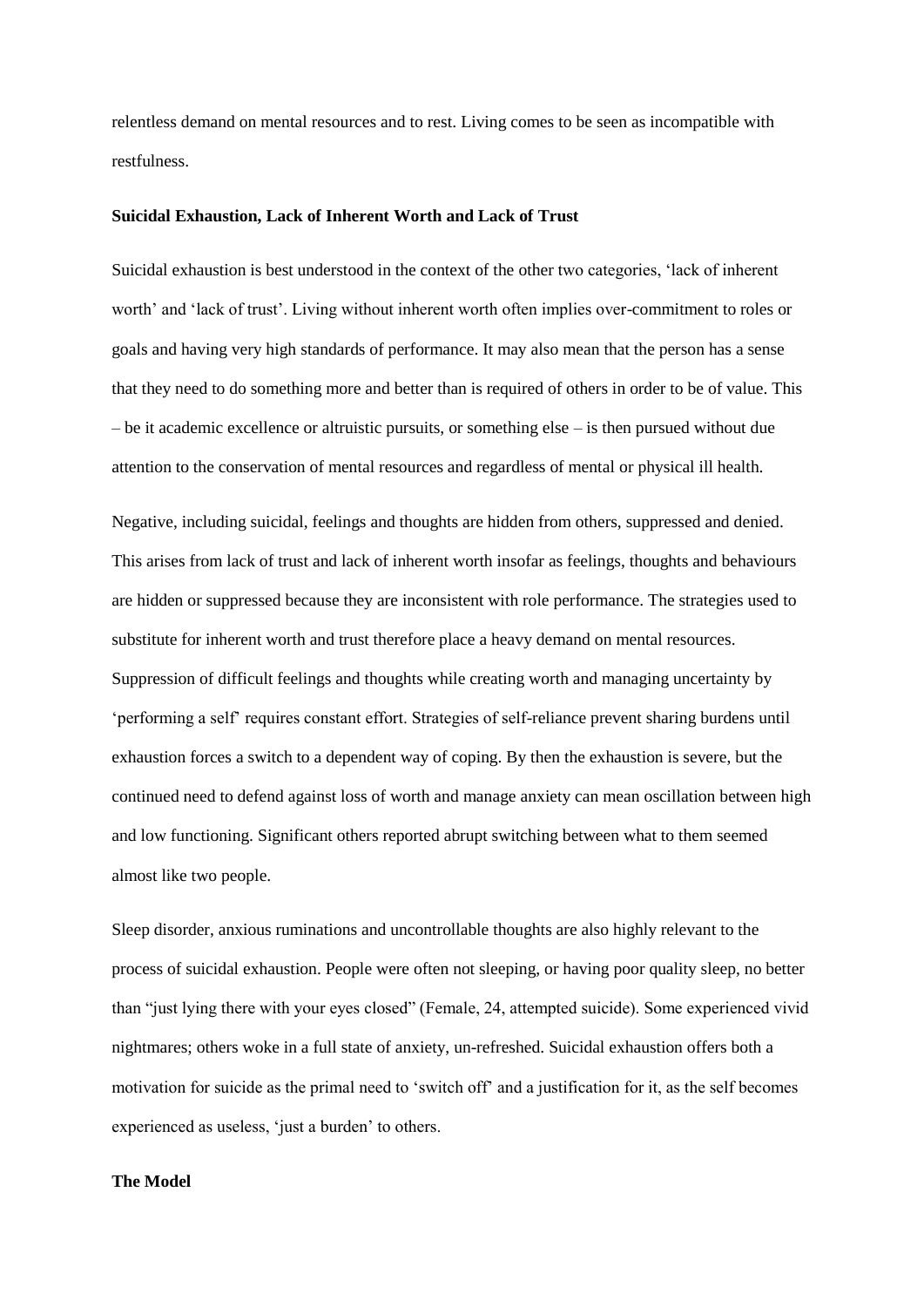relentless demand on mental resources and to rest. Living comes to be seen as incompatible with restfulness.

## **Suicidal Exhaustion, Lack of Inherent Worth and Lack of Trust**

Suicidal exhaustion is best understood in the context of the other two categories, 'lack of inherent worth' and 'lack of trust'. Living without inherent worth often implies over-commitment to roles or goals and having very high standards of performance. It may also mean that the person has a sense that they need to do something more and better than is required of others in order to be of value. This – be it academic excellence or altruistic pursuits, or something else – is then pursued without due attention to the conservation of mental resources and regardless of mental or physical ill health.

Negative, including suicidal, feelings and thoughts are hidden from others, suppressed and denied. This arises from lack of trust and lack of inherent worth insofar as feelings, thoughts and behaviours are hidden or suppressed because they are inconsistent with role performance. The strategies used to substitute for inherent worth and trust therefore place a heavy demand on mental resources. Suppression of difficult feelings and thoughts while creating worth and managing uncertainty by 'performing a self' requires constant effort. Strategies of self-reliance prevent sharing burdens until exhaustion forces a switch to a dependent way of coping. By then the exhaustion is severe, but the continued need to defend against loss of worth and manage anxiety can mean oscillation between high and low functioning. Significant others reported abrupt switching between what to them seemed almost like two people.

Sleep disorder, anxious ruminations and uncontrollable thoughts are also highly relevant to the process of suicidal exhaustion. People were often not sleeping, or having poor quality sleep, no better than "just lying there with your eyes closed" (Female, 24, attempted suicide). Some experienced vivid nightmares; others woke in a full state of anxiety, un-refreshed. Suicidal exhaustion offers both a motivation for suicide as the primal need to 'switch off' and a justification for it, as the self becomes experienced as useless, 'just a burden' to others.

# **The Model**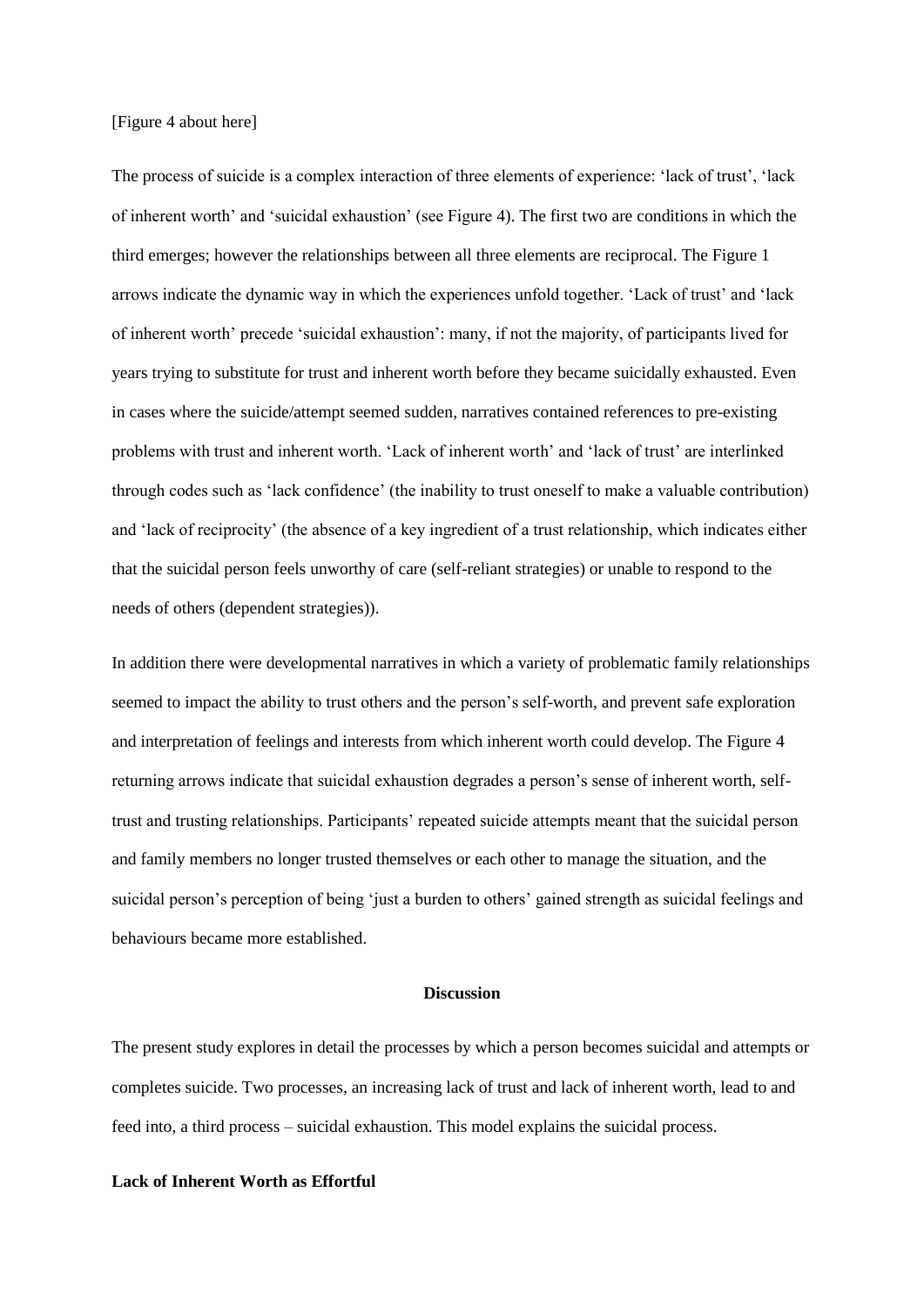#### [Figure 4 about here]

The process of suicide is a complex interaction of three elements of experience: 'lack of trust', 'lack of inherent worth' and 'suicidal exhaustion' (see Figure 4). The first two are conditions in which the third emerges; however the relationships between all three elements are reciprocal. The Figure 1 arrows indicate the dynamic way in which the experiences unfold together. 'Lack of trust' and 'lack of inherent worth' precede 'suicidal exhaustion': many, if not the majority, of participants lived for years trying to substitute for trust and inherent worth before they became suicidally exhausted. Even in cases where the suicide/attempt seemed sudden, narratives contained references to pre-existing problems with trust and inherent worth. 'Lack of inherent worth' and 'lack of trust' are interlinked through codes such as 'lack confidence' (the inability to trust oneself to make a valuable contribution) and 'lack of reciprocity' (the absence of a key ingredient of a trust relationship, which indicates either that the suicidal person feels unworthy of care (self-reliant strategies) or unable to respond to the needs of others (dependent strategies)).

In addition there were developmental narratives in which a variety of problematic family relationships seemed to impact the ability to trust others and the person's self-worth, and prevent safe exploration and interpretation of feelings and interests from which inherent worth could develop. The Figure 4 returning arrows indicate that suicidal exhaustion degrades a person's sense of inherent worth, selftrust and trusting relationships. Participants' repeated suicide attempts meant that the suicidal person and family members no longer trusted themselves or each other to manage the situation, and the suicidal person's perception of being 'just a burden to others' gained strength as suicidal feelings and behaviours became more established.

## **Discussion**

The present study explores in detail the processes by which a person becomes suicidal and attempts or completes suicide. Two processes, an increasing lack of trust and lack of inherent worth, lead to and feed into, a third process – suicidal exhaustion. This model explains the suicidal process.

## **Lack of Inherent Worth as Effortful**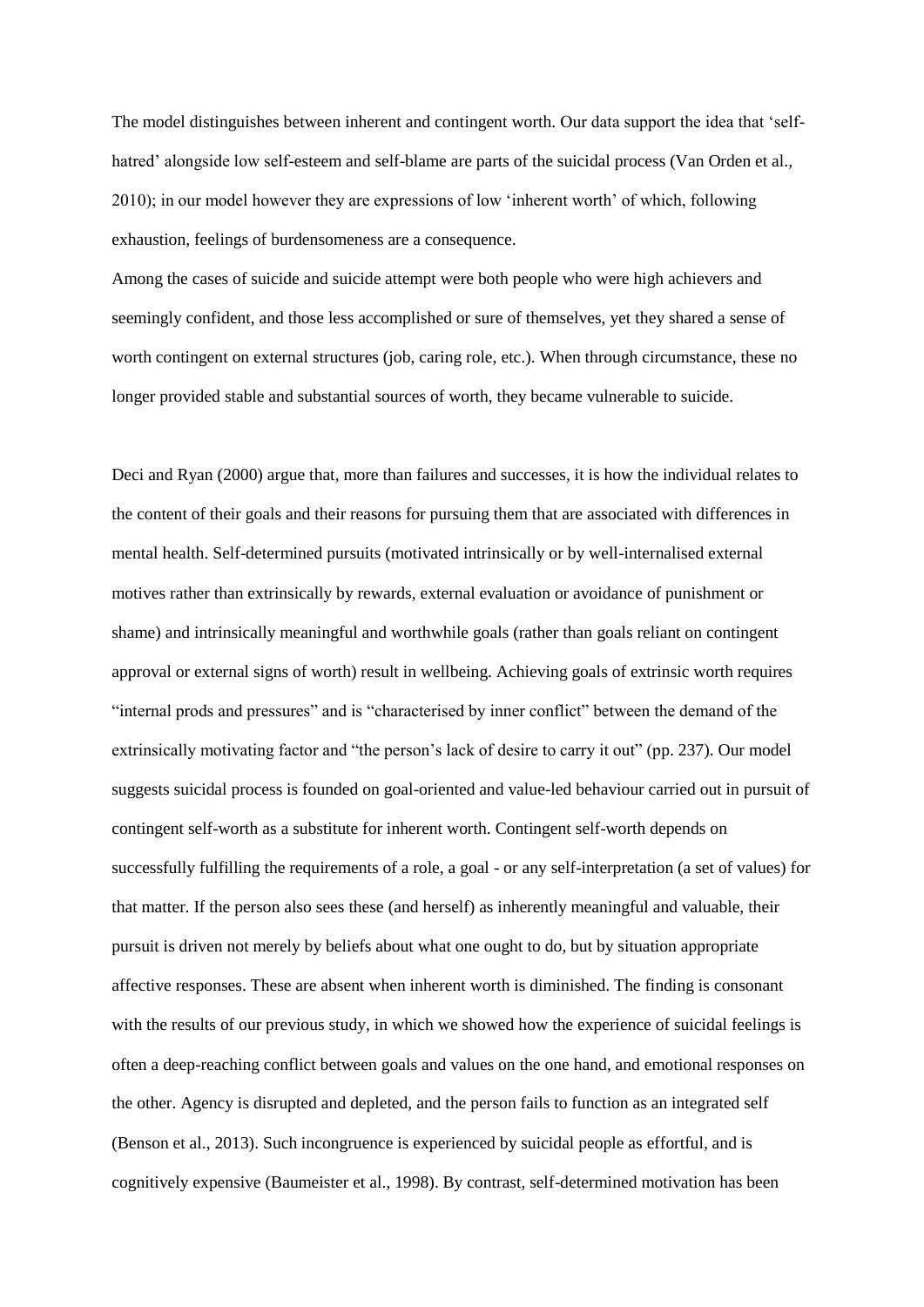The model distinguishes between inherent and contingent worth. Our data support the idea that 'selfhatred' alongside low self-esteem and self-blame are parts of the suicidal process (Van Orden et al., 2010); in our model however they are expressions of low 'inherent worth' of which, following exhaustion, feelings of burdensomeness are a consequence.

Among the cases of suicide and suicide attempt were both people who were high achievers and seemingly confident, and those less accomplished or sure of themselves, yet they shared a sense of worth contingent on external structures (job, caring role, etc.). When through circumstance, these no longer provided stable and substantial sources of worth, they became vulnerable to suicide.

Deci and Ryan (2000) argue that, more than failures and successes, it is how the individual relates to the content of their goals and their reasons for pursuing them that are associated with differences in mental health. Self-determined pursuits (motivated intrinsically or by well-internalised external motives rather than extrinsically by rewards, external evaluation or avoidance of punishment or shame) and intrinsically meaningful and worthwhile goals (rather than goals reliant on contingent approval or external signs of worth) result in wellbeing. Achieving goals of extrinsic worth requires "internal prods and pressures" and is "characterised by inner conflict" between the demand of the extrinsically motivating factor and "the person's lack of desire to carry it out" (pp. 237). Our model suggests suicidal process is founded on goal-oriented and value-led behaviour carried out in pursuit of contingent self-worth as a substitute for inherent worth. Contingent self-worth depends on successfully fulfilling the requirements of a role, a goal - or any self-interpretation (a set of values) for that matter. If the person also sees these (and herself) as inherently meaningful and valuable, their pursuit is driven not merely by beliefs about what one ought to do, but by situation appropriate affective responses. These are absent when inherent worth is diminished. The finding is consonant with the results of our previous study, in which we showed how the experience of suicidal feelings is often a deep-reaching conflict between goals and values on the one hand, and emotional responses on the other. Agency is disrupted and depleted, and the person fails to function as an integrated self (Benson et al., 2013). Such incongruence is experienced by suicidal people as effortful, and is cognitively expensive (Baumeister et al., 1998). By contrast, self-determined motivation has been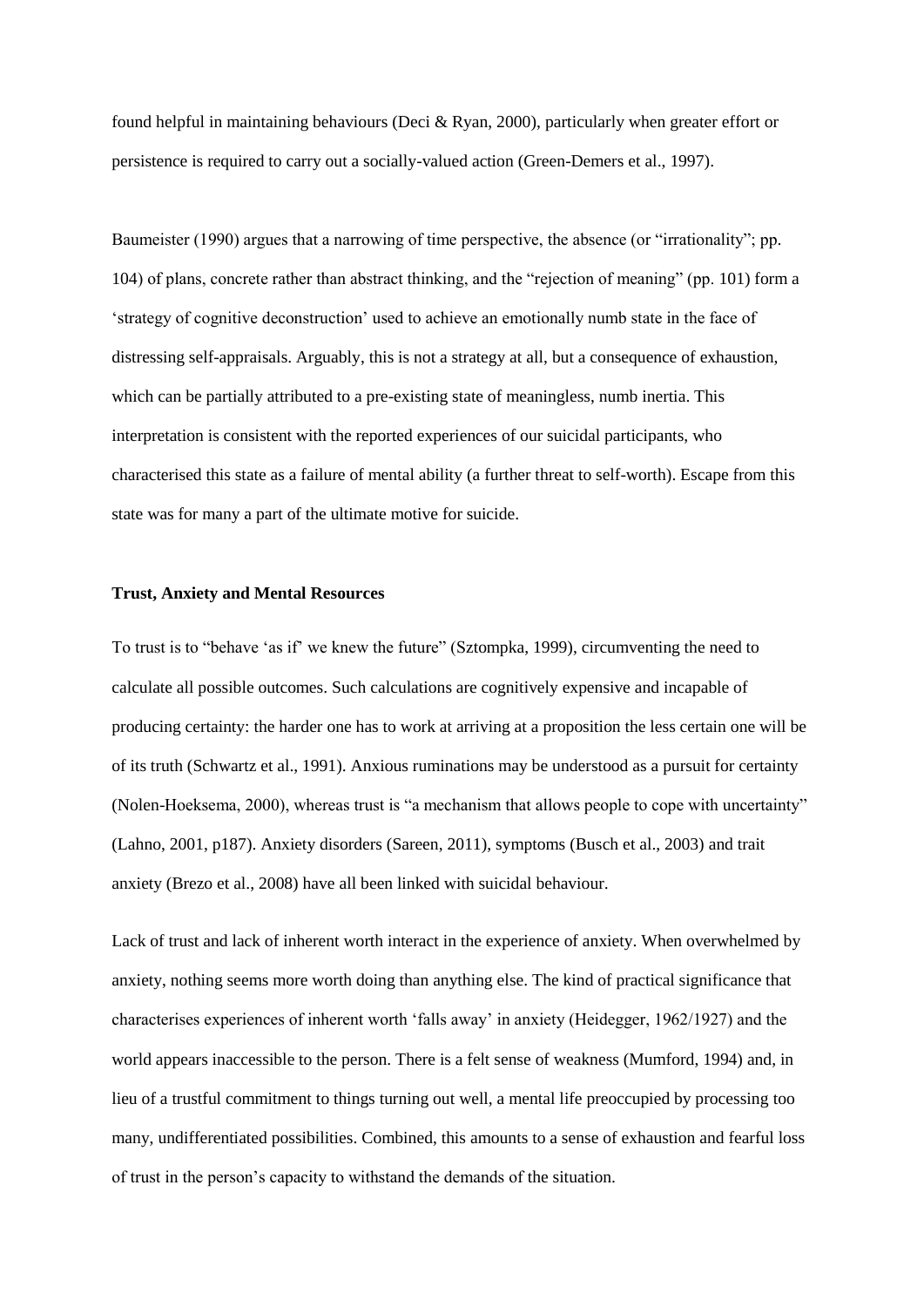found helpful in maintaining behaviours (Deci & Ryan, 2000), particularly when greater effort or persistence is required to carry out a socially-valued action (Green-Demers et al., 1997).

Baumeister (1990) argues that a narrowing of time perspective, the absence (or "irrationality"; pp. 104) of plans, concrete rather than abstract thinking, and the "rejection of meaning" (pp. 101) form a 'strategy of cognitive deconstruction' used to achieve an emotionally numb state in the face of distressing self-appraisals. Arguably, this is not a strategy at all, but a consequence of exhaustion, which can be partially attributed to a pre-existing state of meaningless, numb inertia. This interpretation is consistent with the reported experiences of our suicidal participants, who characterised this state as a failure of mental ability (a further threat to self-worth). Escape from this state was for many a part of the ultimate motive for suicide.

#### **Trust, Anxiety and Mental Resources**

To trust is to "behave 'as if' we knew the future" (Sztompka, 1999), circumventing the need to calculate all possible outcomes. Such calculations are cognitively expensive and incapable of producing certainty: the harder one has to work at arriving at a proposition the less certain one will be of its truth (Schwartz et al., 1991). Anxious ruminations may be understood as a pursuit for certainty (Nolen-Hoeksema, 2000), whereas trust is "a mechanism that allows people to cope with uncertainty" (Lahno, 2001, p187). Anxiety disorders (Sareen, 2011), symptoms (Busch et al., 2003) and trait anxiety (Brezo et al., 2008) have all been linked with suicidal behaviour.

Lack of trust and lack of inherent worth interact in the experience of anxiety. When overwhelmed by anxiety, nothing seems more worth doing than anything else. The kind of practical significance that characterises experiences of inherent worth 'falls away' in anxiety (Heidegger, 1962/1927) and the world appears inaccessible to the person. There is a felt sense of weakness (Mumford, 1994) and, in lieu of a trustful commitment to things turning out well, a mental life preoccupied by processing too many, undifferentiated possibilities. Combined, this amounts to a sense of exhaustion and fearful loss of trust in the person's capacity to withstand the demands of the situation.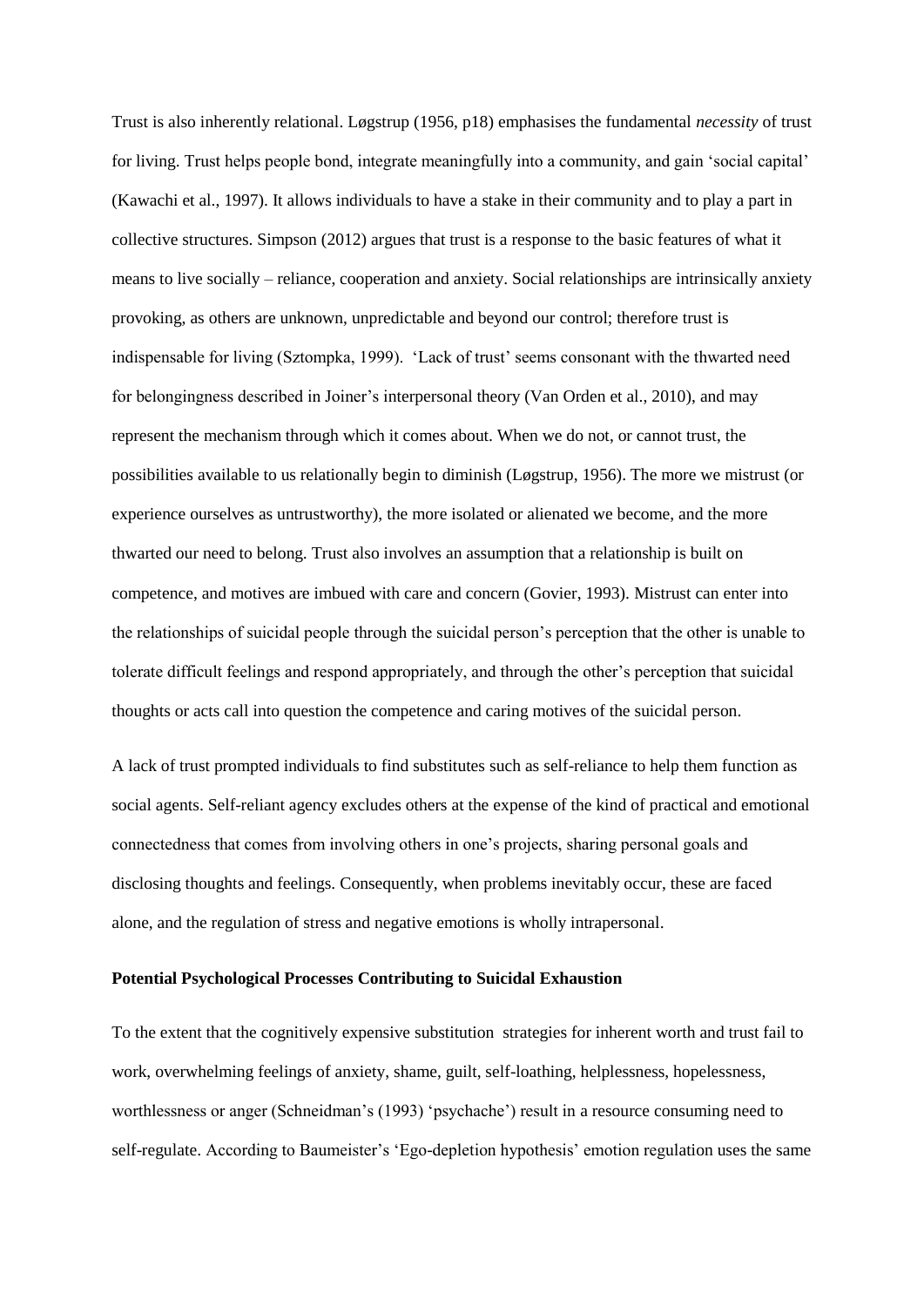Trust is also inherently relational. Løgstrup (1956, p18) emphasises the fundamental *necessity* of trust for living. Trust helps people bond, integrate meaningfully into a community, and gain 'social capital' (Kawachi et al., 1997). It allows individuals to have a stake in their community and to play a part in collective structures. Simpson (2012) argues that trust is a response to the basic features of what it means to live socially – reliance, cooperation and anxiety. Social relationships are intrinsically anxiety provoking, as others are unknown, unpredictable and beyond our control; therefore trust is indispensable for living (Sztompka, 1999). 'Lack of trust' seems consonant with the thwarted need for belongingness described in Joiner's interpersonal theory (Van Orden et al., 2010), and may represent the mechanism through which it comes about. When we do not, or cannot trust, the possibilities available to us relationally begin to diminish (Løgstrup, 1956). The more we mistrust (or experience ourselves as untrustworthy), the more isolated or alienated we become, and the more thwarted our need to belong. Trust also involves an assumption that a relationship is built on competence, and motives are imbued with care and concern (Govier, 1993). Mistrust can enter into the relationships of suicidal people through the suicidal person's perception that the other is unable to tolerate difficult feelings and respond appropriately, and through the other's perception that suicidal thoughts or acts call into question the competence and caring motives of the suicidal person.

A lack of trust prompted individuals to find substitutes such as self-reliance to help them function as social agents. Self-reliant agency excludes others at the expense of the kind of practical and emotional connectedness that comes from involving others in one's projects, sharing personal goals and disclosing thoughts and feelings. Consequently, when problems inevitably occur, these are faced alone, and the regulation of stress and negative emotions is wholly intrapersonal.

## **Potential Psychological Processes Contributing to Suicidal Exhaustion**

To the extent that the cognitively expensive substitution strategies for inherent worth and trust fail to work, overwhelming feelings of anxiety, shame, guilt, self-loathing, helplessness, hopelessness, worthlessness or anger (Schneidman's (1993) 'psychache') result in a resource consuming need to self-regulate. According to Baumeister's 'Ego-depletion hypothesis' emotion regulation uses the same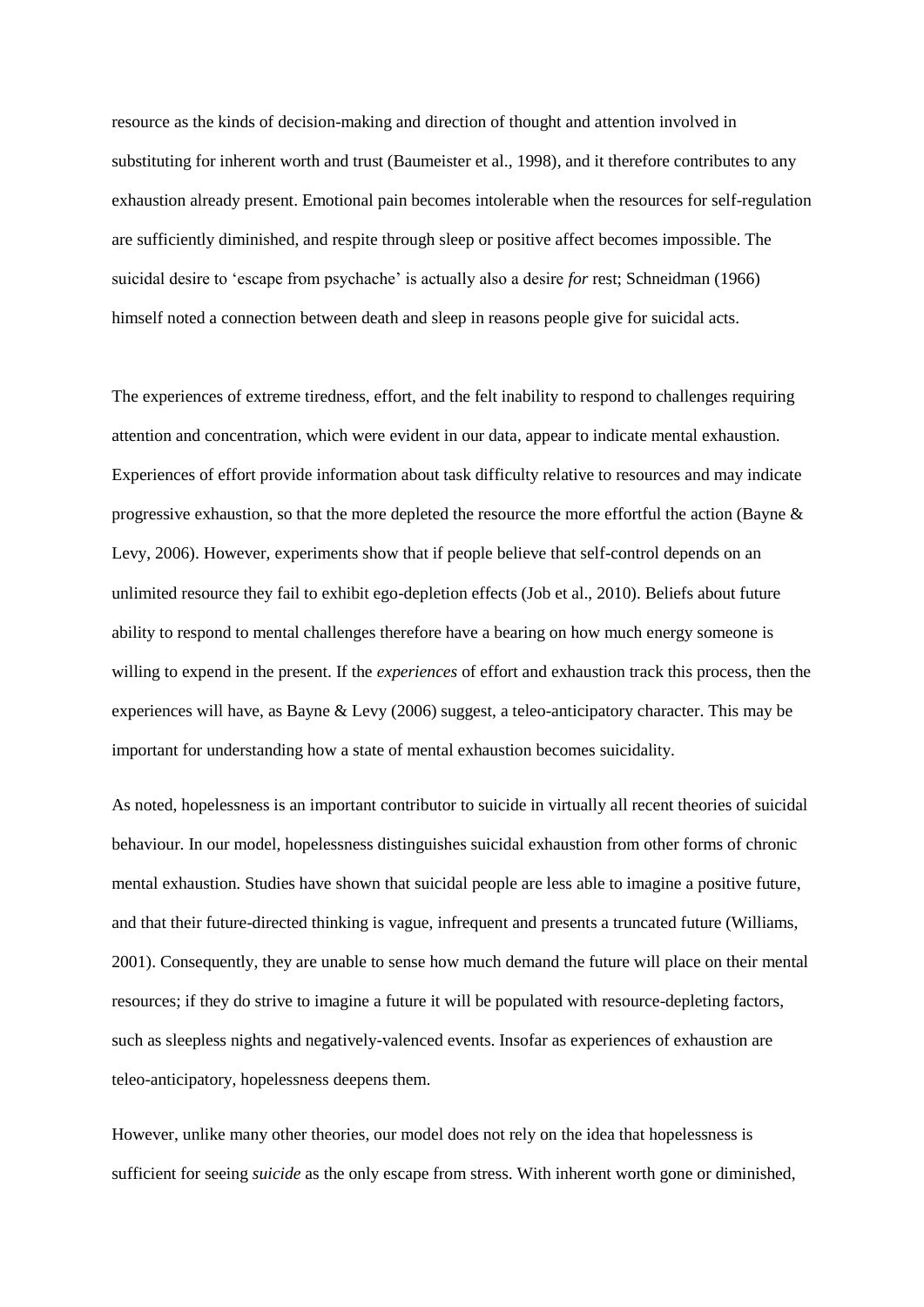resource as the kinds of decision-making and direction of thought and attention involved in substituting for inherent worth and trust (Baumeister et al., 1998), and it therefore contributes to any exhaustion already present. Emotional pain becomes intolerable when the resources for self-regulation are sufficiently diminished, and respite through sleep or positive affect becomes impossible. The suicidal desire to 'escape from psychache' is actually also a desire *for* rest; Schneidman (1966) himself noted a connection between death and sleep in reasons people give for suicidal acts.

The experiences of extreme tiredness, effort, and the felt inability to respond to challenges requiring attention and concentration, which were evident in our data, appear to indicate mental exhaustion. Experiences of effort provide information about task difficulty relative to resources and may indicate progressive exhaustion, so that the more depleted the resource the more effortful the action (Bayne & Levy, 2006). However, experiments show that if people believe that self-control depends on an unlimited resource they fail to exhibit ego-depletion effects (Job et al., 2010). Beliefs about future ability to respond to mental challenges therefore have a bearing on how much energy someone is willing to expend in the present. If the *experiences* of effort and exhaustion track this process, then the experiences will have, as Bayne & Levy (2006) suggest, a teleo-anticipatory character. This may be important for understanding how a state of mental exhaustion becomes suicidality.

As noted, hopelessness is an important contributor to suicide in virtually all recent theories of suicidal behaviour. In our model, hopelessness distinguishes suicidal exhaustion from other forms of chronic mental exhaustion. Studies have shown that suicidal people are less able to imagine a positive future, and that their future-directed thinking is vague, infrequent and presents a truncated future (Williams, 2001). Consequently, they are unable to sense how much demand the future will place on their mental resources; if they do strive to imagine a future it will be populated with resource-depleting factors, such as sleepless nights and negatively-valenced events. Insofar as experiences of exhaustion are teleo-anticipatory, hopelessness deepens them.

However, unlike many other theories, our model does not rely on the idea that hopelessness is sufficient for seeing *suicide* as the only escape from stress. With inherent worth gone or diminished,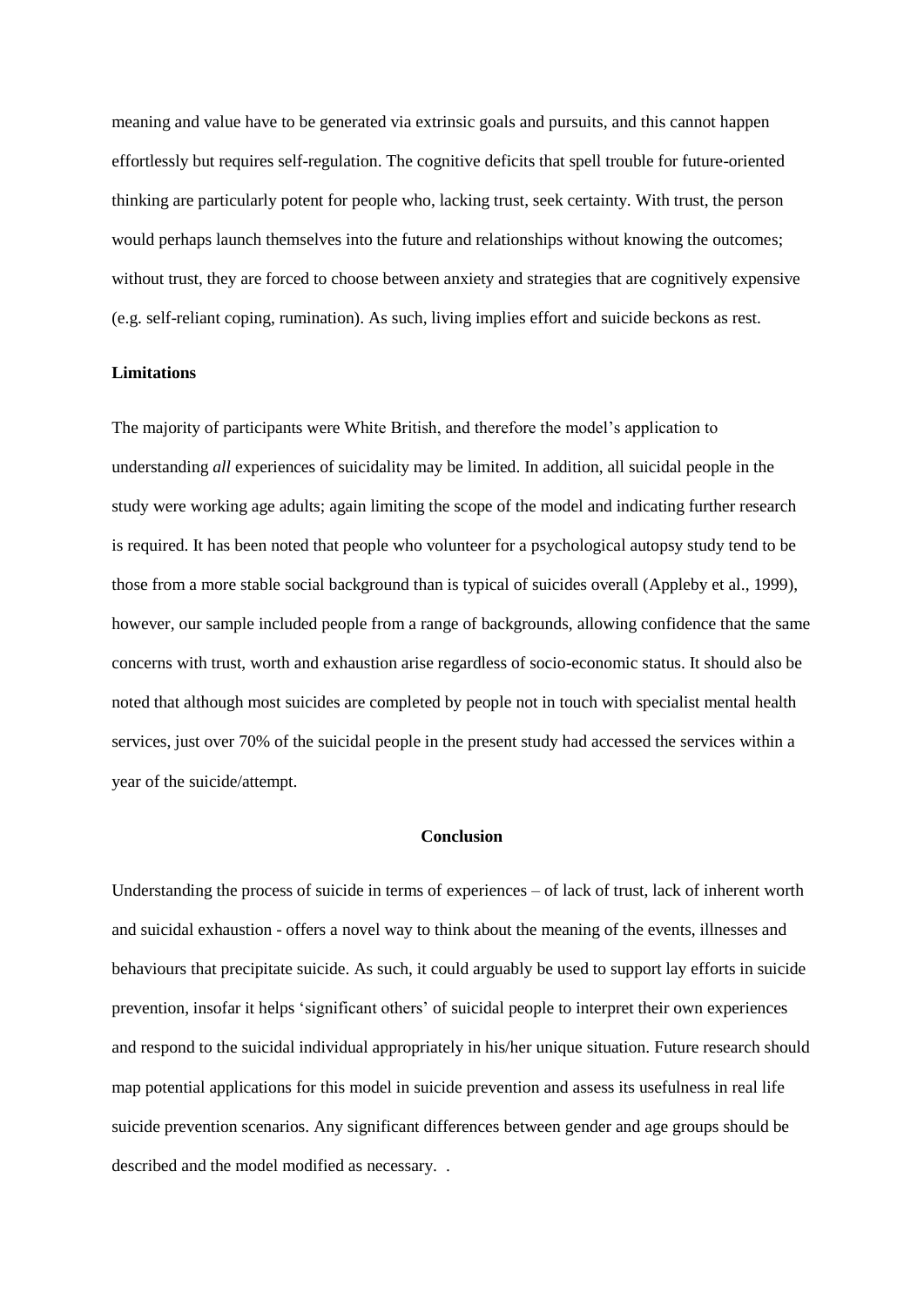meaning and value have to be generated via extrinsic goals and pursuits, and this cannot happen effortlessly but requires self-regulation. The cognitive deficits that spell trouble for future-oriented thinking are particularly potent for people who, lacking trust, seek certainty. With trust, the person would perhaps launch themselves into the future and relationships without knowing the outcomes; without trust, they are forced to choose between anxiety and strategies that are cognitively expensive (e.g. self-reliant coping, rumination). As such, living implies effort and suicide beckons as rest.

# **Limitations**

The majority of participants were White British, and therefore the model's application to understanding *all* experiences of suicidality may be limited. In addition, all suicidal people in the study were working age adults; again limiting the scope of the model and indicating further research is required. It has been noted that people who volunteer for a psychological autopsy study tend to be those from a more stable social background than is typical of suicides overall (Appleby et al., 1999), however, our sample included people from a range of backgrounds, allowing confidence that the same concerns with trust, worth and exhaustion arise regardless of socio-economic status. It should also be noted that although most suicides are completed by people not in touch with specialist mental health services, just over 70% of the suicidal people in the present study had accessed the services within a year of the suicide/attempt.

#### **Conclusion**

Understanding the process of suicide in terms of experiences – of lack of trust, lack of inherent worth and suicidal exhaustion - offers a novel way to think about the meaning of the events, illnesses and behaviours that precipitate suicide. As such, it could arguably be used to support lay efforts in suicide prevention, insofar it helps 'significant others' of suicidal people to interpret their own experiences and respond to the suicidal individual appropriately in his/her unique situation. Future research should map potential applications for this model in suicide prevention and assess its usefulness in real life suicide prevention scenarios. Any significant differences between gender and age groups should be described and the model modified as necessary. .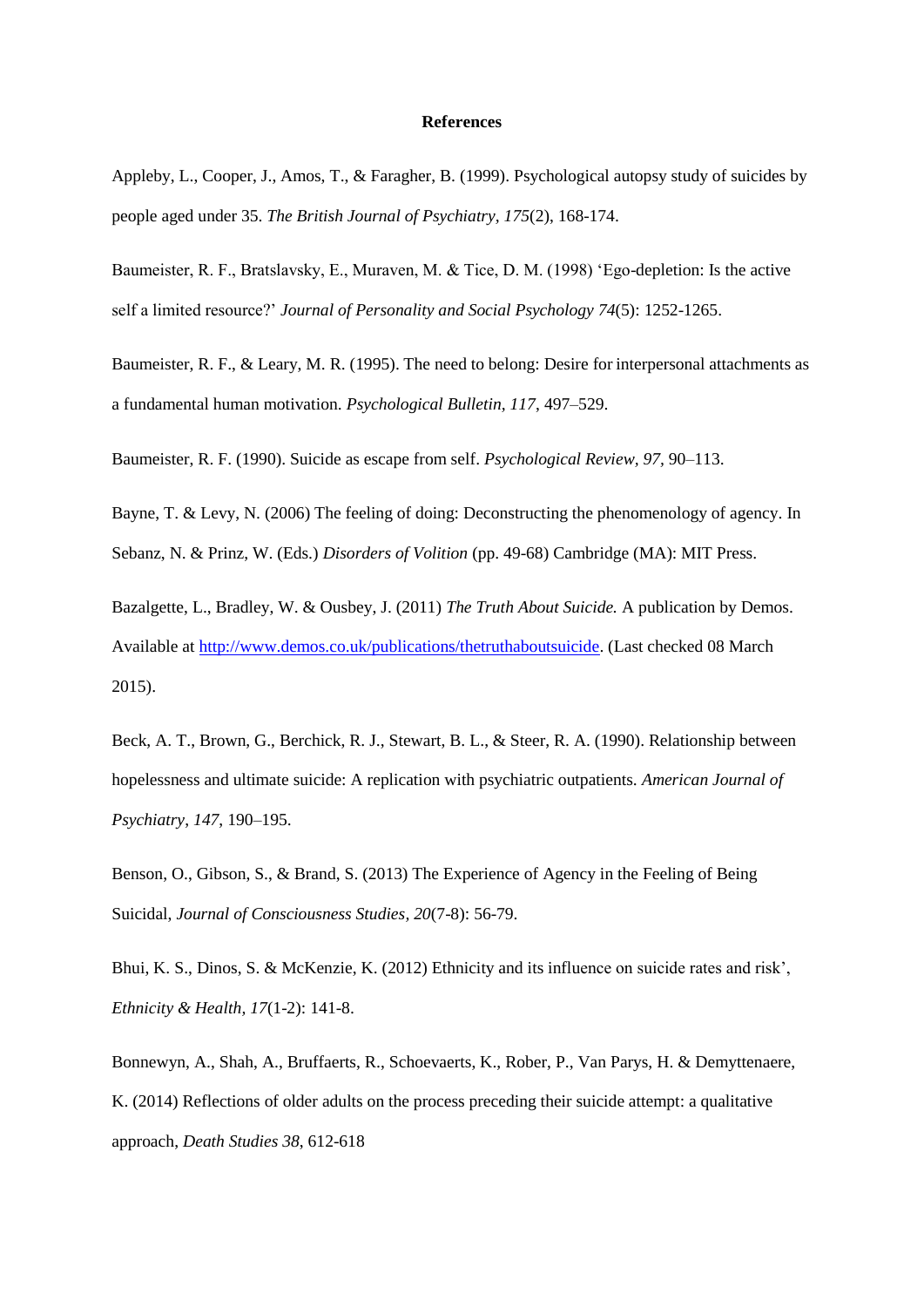#### **References**

Appleby, L., Cooper, J., Amos, T., & Faragher, B. (1999). Psychological autopsy study of suicides by people aged under 35. *The British Journal of Psychiatry, 175*(2), 168-174.

Baumeister, R. F., Bratslavsky, E., Muraven, M. & Tice, D. M. (1998) 'Ego-depletion: Is the active self a limited resource?' *Journal of Personality and Social Psychology 74*(5): 1252-1265.

Baumeister, R. F., & Leary, M. R. (1995). The need to belong: Desire for interpersonal attachments as a fundamental human motivation. *Psychological Bulletin, 117*, 497–529.

Baumeister, R. F. (1990). Suicide as escape from self. *Psychological Review, 97,* 90–113.

Bayne, T. & Levy, N. (2006) The feeling of doing: Deconstructing the phenomenology of agency. In Sebanz, N. & Prinz, W. (Eds.) *Disorders of Volition* (pp. 49-68) Cambridge (MA): MIT Press.

Bazalgette, L., Bradley, W. & Ousbey, J. (2011) *The Truth About Suicide.* A publication by Demos. Available at [http://www.demos.co.uk/publications/thetruthaboutsuicide.](http://www.demos.co.uk/publications/thetruthaboutsuicide) (Last checked 08 March 2015).

Beck, A. T., Brown, G., Berchick, R. J., Stewart, B. L., & Steer, R. A. (1990). Relationship between hopelessness and ultimate suicide: A replication with psychiatric outpatients. *American Journal of Psychiatry*, *147*, 190–195.

Benson, O., Gibson, S., & Brand, S. (2013) The Experience of Agency in the Feeling of Being Suicidal, *Journal of Consciousness Studies, 20*(7-8): 56-79.

Bhui, K. S., Dinos, S. & McKenzie, K. (2012) Ethnicity and its influence on suicide rates and risk', *Ethnicity & Health, 17*(1-2): 141-8.

Bonnewyn, A., Shah, A., Bruffaerts, R., Schoevaerts, K., Rober, P., Van Parys, H. & Demyttenaere, K. (2014) Reflections of older adults on the process preceding their suicide attempt: a qualitative approach, *Death Studies 38*, 612-618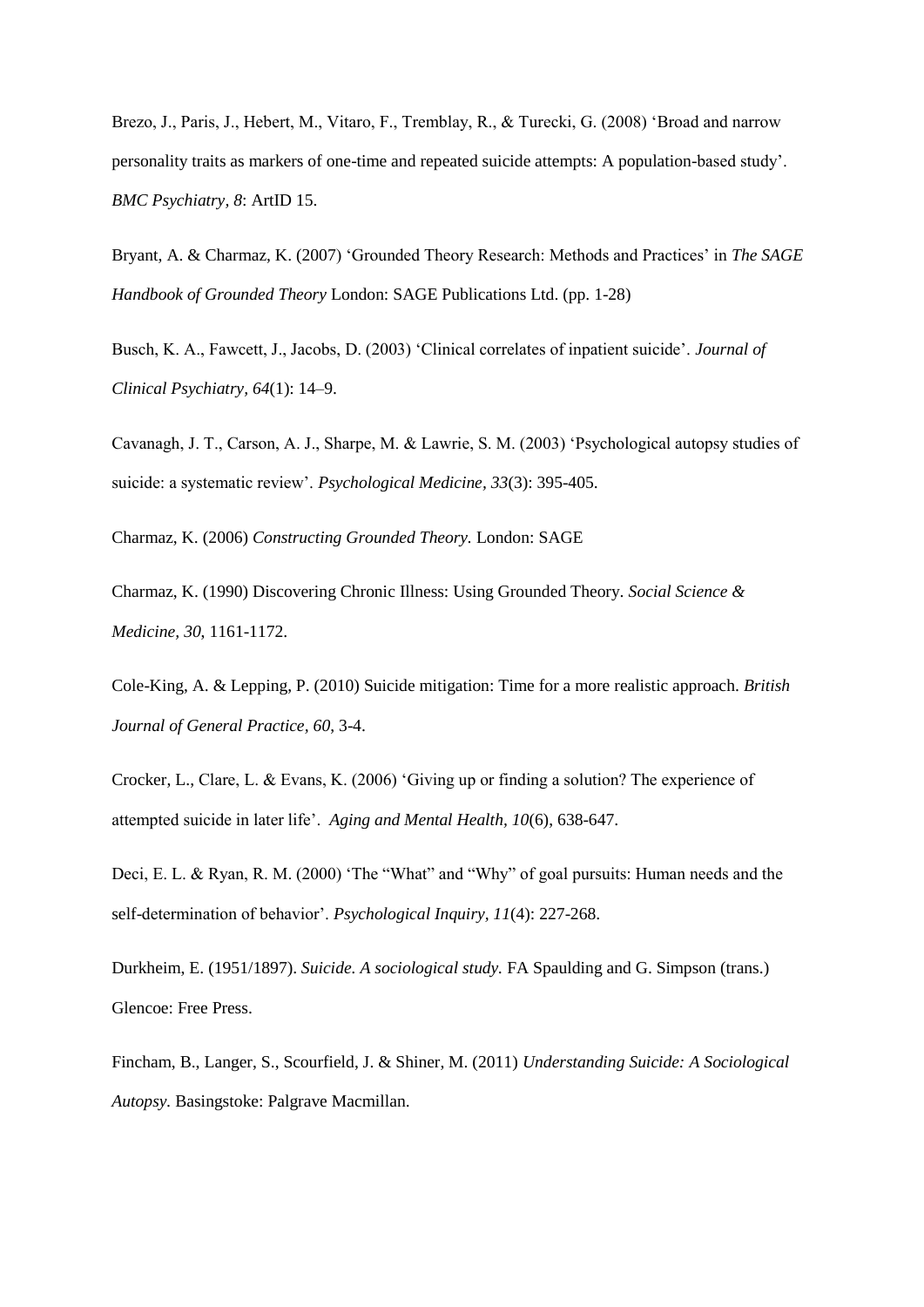Brezo, J., Paris, J., Hebert, M., Vitaro, F., Tremblay, R., & Turecki, G. (2008) 'Broad and narrow personality traits as markers of one-time and repeated suicide attempts: A population-based study'. *BMC Psychiatry, 8*: ArtID 15.

Bryant, A. & Charmaz, K. (2007) 'Grounded Theory Research: Methods and Practices' in *The SAGE Handbook of Grounded Theory* London: SAGE Publications Ltd. (pp. 1-28)

Busch, K. A., Fawcett, J., Jacobs, D. (2003) 'Clinical correlates of inpatient suicide'. *Journal of Clinical Psychiatry, 64*(1): 14–9.

Cavanagh, J. T., Carson, A. J., Sharpe, M. & Lawrie, S. M. (2003) 'Psychological autopsy studies of suicide: a systematic review'. *Psychological Medicine, 33*(3): 395-405.

Charmaz, K. (2006) *Constructing Grounded Theory.* London: SAGE

Charmaz, K. (1990) Discovering Chronic Illness: Using Grounded Theory. *Social Science & Medicine, 30*, 1161-1172.

Cole-King, A. & Lepping, P. (2010) Suicide mitigation: Time for a more realistic approach. *British Journal of General Practice, 60*, 3-4.

Crocker, L., Clare, L. & Evans, K. (2006) 'Giving up or finding a solution? The experience of attempted suicide in later life'. *Aging and Mental Health, 10*(6), 638-647.

Deci, E. L. & Ryan, R. M. (2000) 'The "What" and "Why" of goal pursuits: Human needs and the self-determination of behavior'. *Psychological Inquiry, 11*(4): 227-268.

Durkheim, E. (1951/1897). *Suicide. A sociological study.* FA Spaulding and G. Simpson (trans.) Glencoe: Free Press.

Fincham, B., Langer, S., Scourfield, J. & Shiner, M. (2011) *Understanding Suicide: A Sociological Autopsy.* Basingstoke: Palgrave Macmillan.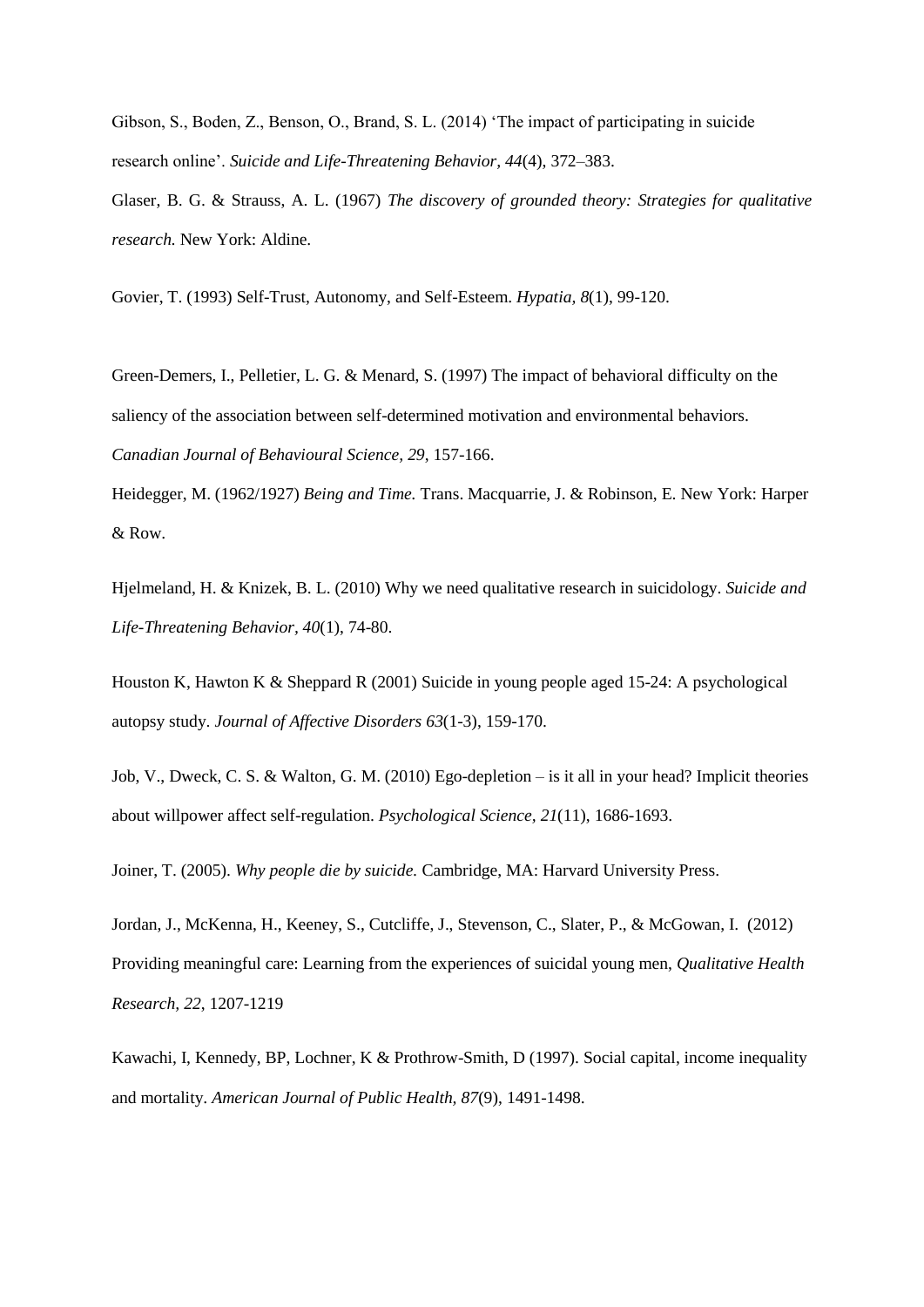Gibson, S., Boden, Z., Benson, O., Brand, S. L. (2014) 'The impact of participating in suicide research online'. *Suicide and Life-Threatening Behavior, 44*(4), 372–383.

Glaser, B. G. & Strauss, A. L. (1967) *The discovery of grounded theory: Strategies for qualitative research.* New York: Aldine.

Govier, T. (1993) Self-Trust, Autonomy, and Self-Esteem. *Hypatia, 8*(1), 99-120.

Green-Demers, I., Pelletier, L. G. & Menard, S. (1997) The impact of behavioral difficulty on the saliency of the association between self-determined motivation and environmental behaviors. *Canadian Journal of Behavioural Science, 29*, 157-166.

Heidegger, M. (1962/1927) *Being and Time.* Trans. Macquarrie, J. & Robinson, E. New York: Harper & Row.

Hjelmeland, H. & Knizek, B. L. (2010) Why we need qualitative research in suicidology. *Suicide and Life-Threatening Behavior, 40*(1), 74-80.

Houston K, Hawton K & Sheppard R (2001) Suicide in young people aged 15-24: A psychological autopsy study. *Journal of Affective Disorders 63*(1-3), 159-170.

Job, V., Dweck, C. S. & Walton, G. M. (2010) Ego-depletion – is it all in your head? Implicit theories about willpower affect self-regulation. *Psychological Science, 21*(11), 1686-1693.

Joiner, T. (2005). *Why people die by suicide.* Cambridge, MA: Harvard University Press.

Jordan, J., McKenna, H., Keeney, S., Cutcliffe, J., Stevenson, C., Slater, P., & McGowan, I. (2012) Providing meaningful care: Learning from the experiences of suicidal young men, *Qualitative Health Research, 22*, 1207-1219

Kawachi, I, Kennedy, BP, Lochner, K & Prothrow-Smith, D (1997). Social capital, income inequality and mortality. *American Journal of Public Health, 87*(9), 1491-1498.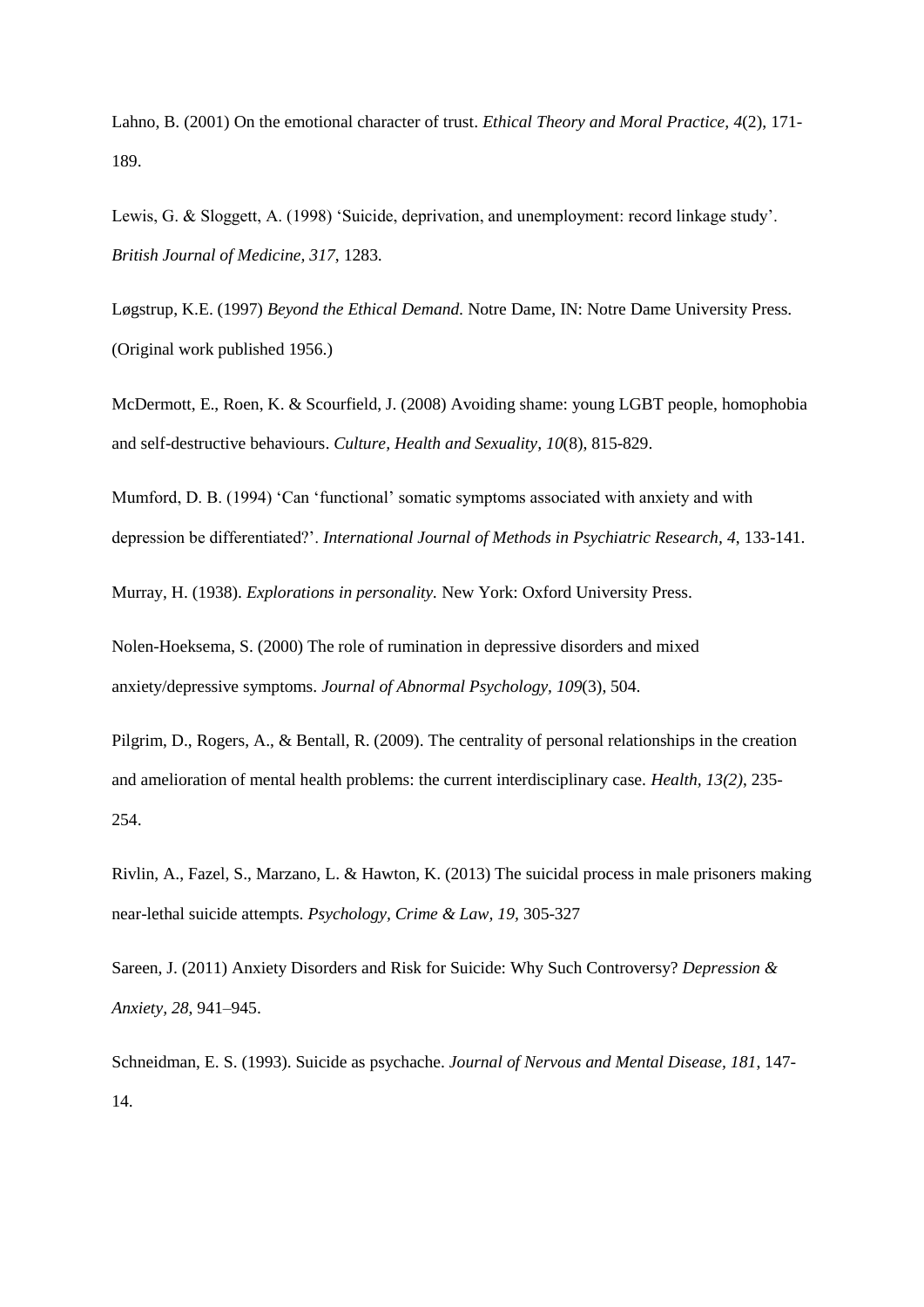Lahno, B. (2001) On the emotional character of trust. *Ethical Theory and Moral Practice, 4*(2), 171- 189.

Lewis, G. & Sloggett, A. (1998) 'Suicide, deprivation, and unemployment: record linkage study'. *British Journal of Medicine, 317*, 1283.

Løgstrup, K.E. (1997) *Beyond the Ethical Demand.* Notre Dame, IN: Notre Dame University Press. (Original work published 1956.)

McDermott, E., Roen, K. & Scourfield, J. (2008) Avoiding shame: young LGBT people, homophobia and self-destructive behaviours. *Culture, Health and Sexuality, 10*(8), 815-829.

Mumford, D. B. (1994) 'Can 'functional' somatic symptoms associated with anxiety and with depression be differentiated?'. *International Journal of Methods in Psychiatric Research, 4*, 133-141.

Murray, H. (1938). *Explorations in personality.* New York: Oxford University Press.

Nolen-Hoeksema, S. (2000) The role of rumination in depressive disorders and mixed anxiety/depressive symptoms. *Journal of Abnormal Psychology, 109*(3), 504.

Pilgrim, D., Rogers, A., & Bentall, R. (2009). The centrality of personal relationships in the creation and amelioration of mental health problems: the current interdisciplinary case. *Health, 13(2)*, 235- 254.

Rivlin, A., Fazel, S., Marzano, L. & Hawton, K. (2013) The suicidal process in male prisoners making near-lethal suicide attempts. *Psychology, Crime & Law, 19,* 305-327

Sareen, J. (2011) Anxiety Disorders and Risk for Suicide: Why Such Controversy? *Depression & Anxiety, 28*, 941–945.

Schneidman, E. S. (1993). Suicide as psychache. *Journal of Nervous and Mental Disease, 181*, 147- 14.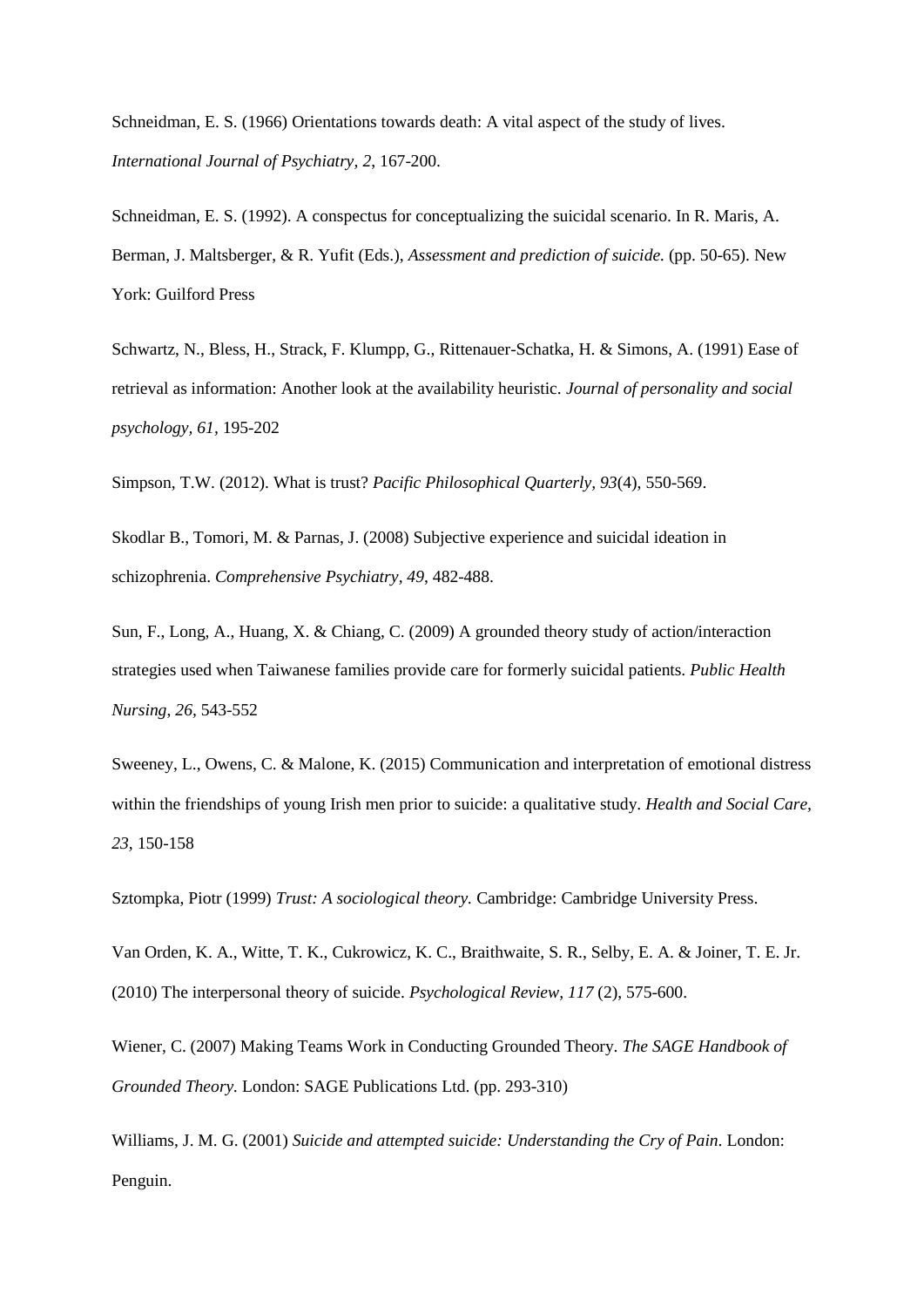Schneidman, E. S. (1966) Orientations towards death: A vital aspect of the study of lives. *International Journal of Psychiatry, 2*, 167-200.

Schneidman, E. S. (1992). A conspectus for conceptualizing the suicidal scenario. In R. Maris, A. Berman, J. Maltsberger, & R. Yufit (Eds.), *Assessment and prediction of suicide.* (pp. 50-65). New York: Guilford Press

Schwartz, N., Bless, H., Strack, F. Klumpp, G., Rittenauer-Schatka, H. & Simons, A. (1991) Ease of retrieval as information: Another look at the availability heuristic. *Journal of personality and social psychology, 61,* 195-202

Simpson, T.W. (2012). What is trust? *Pacific Philosophical Quarterly, 93*(4), 550-569.

Skodlar B., Tomori, M. & Parnas, J. (2008) Subjective experience and suicidal ideation in schizophrenia. *Comprehensive Psychiatry, 49*, 482-488.

Sun, F., Long, A., Huang, X. & Chiang, C. (2009) A grounded theory study of action/interaction strategies used when Taiwanese families provide care for formerly suicidal patients. *Public Health Nursing*, *26,* 543-552

Sweeney, L., Owens, C. & Malone, K. (2015) Communication and interpretation of emotional distress within the friendships of young Irish men prior to suicide: a qualitative study. *Health and Social Care, 23,* 150-158

Sztompka, Piotr (1999) *Trust: A sociological theory.* Cambridge: Cambridge University Press.

Van Orden, K. A., Witte, T. K., Cukrowicz, K. C., Braithwaite, S. R., Selby, E. A. & Joiner, T. E. Jr. (2010) The interpersonal theory of suicide. *Psychological Review, 117* (2), 575-600.

Wiener, C. (2007) Making Teams Work in Conducting Grounded Theory. *The SAGE Handbook of Grounded Theory.* London: SAGE Publications Ltd. (pp. 293-310)

Williams, J. M. G. (2001) *Suicide and attempted suicide: Understanding the Cry of Pain*. London: Penguin.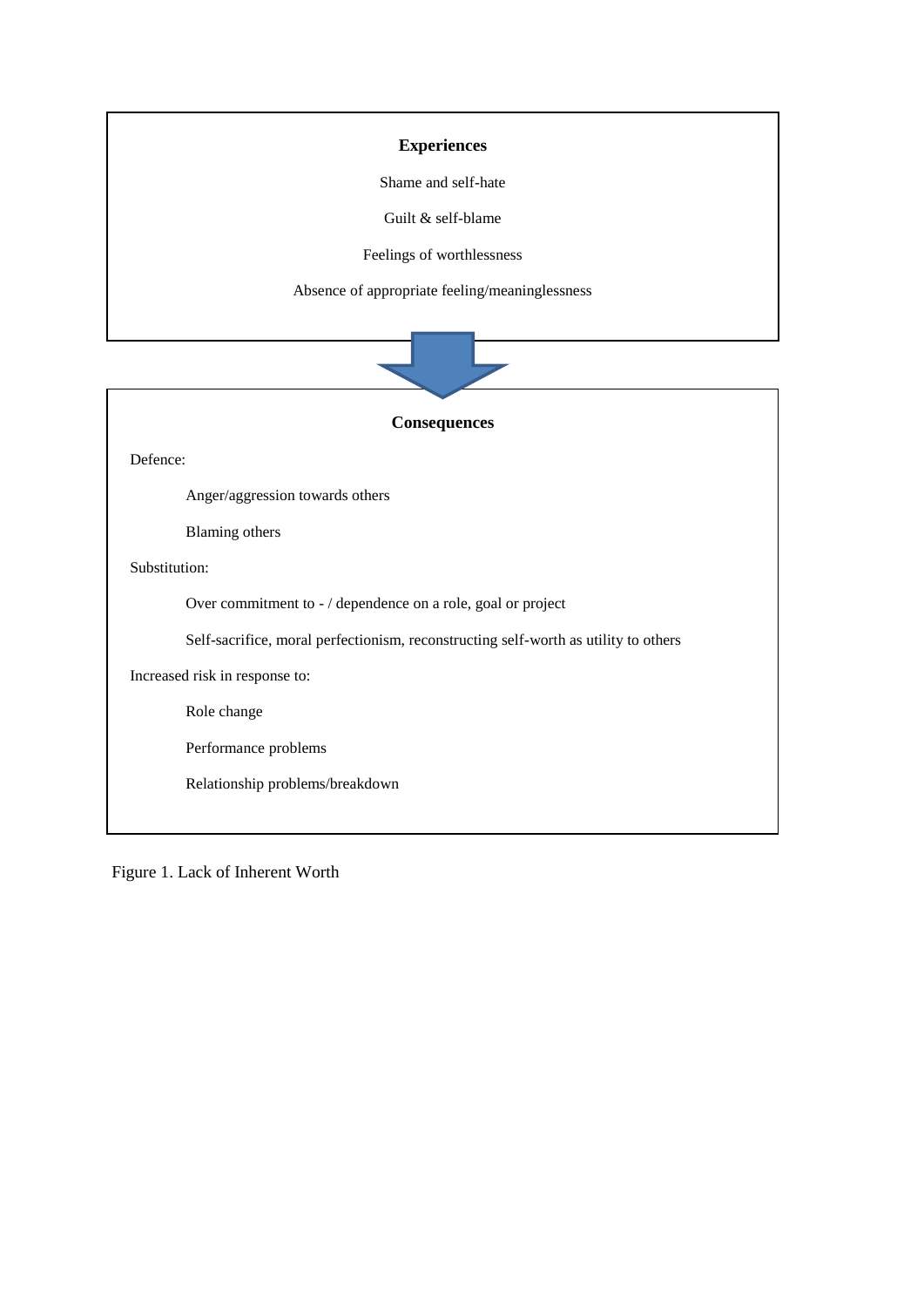# **Experiences**

Shame and self-hate

Guilt & self-blame

Feelings of worthlessness

Absence of appropriate feeling/meaninglessness



# **Consequences**

Defence:

Anger/aggression towards others

Blaming others

Substitution:

Over commitment to - / dependence on a role, goal or project

Self-sacrifice, moral perfectionism, reconstructing self-worth as utility to others

Increased risk in response to:

Role change

Performance problems

Relationship problems/breakdown

Figure 1. Lack of Inherent Worth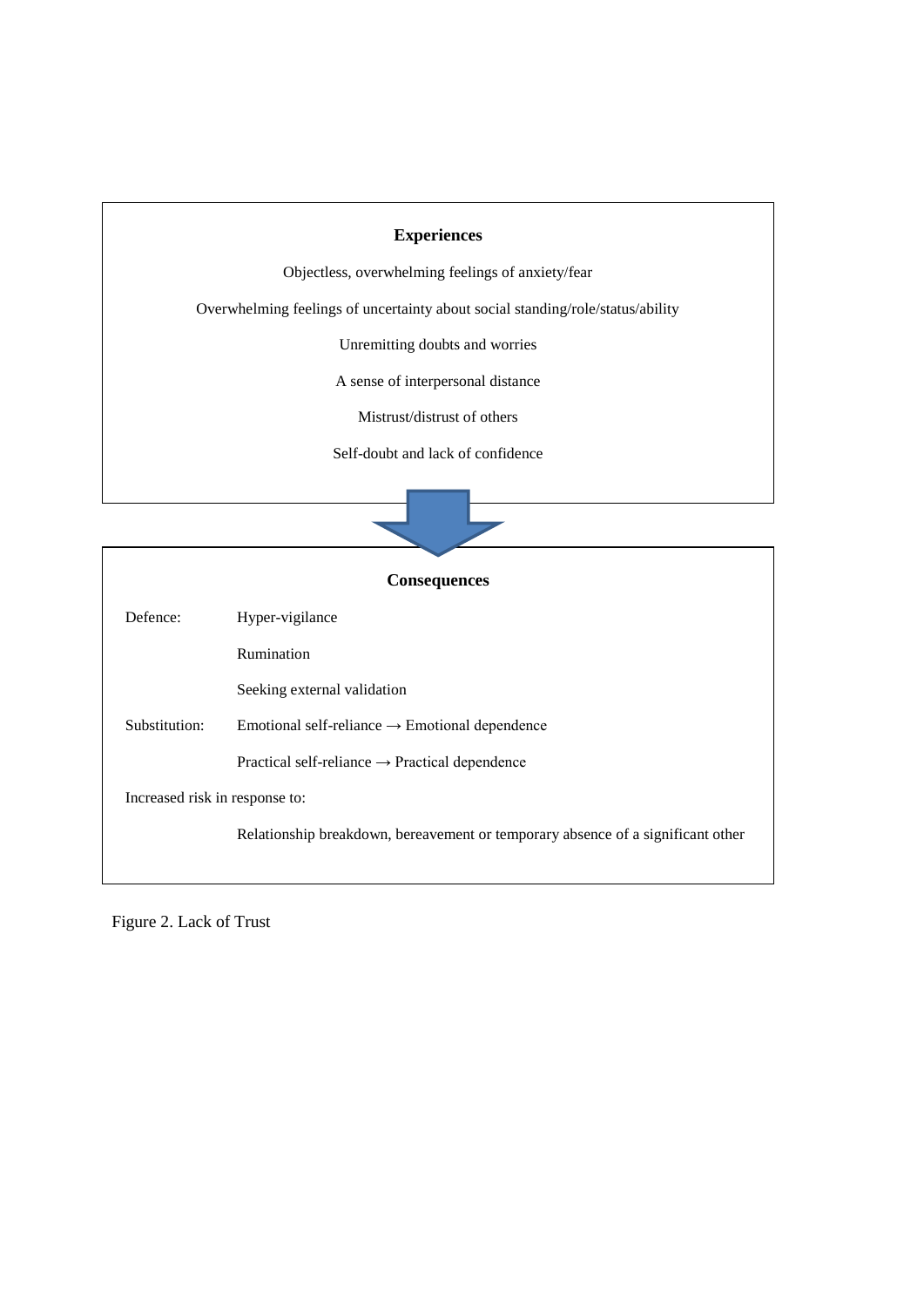

Objectless, overwhelming feelings of anxiety/fear

Overwhelming feelings of uncertainty about social standing/role/status/ability

Unremitting doubts and worries

A sense of interpersonal distance

Mistrust/distrust of others

Self-doubt and lack of confidence



| <b>Consequences</b>            |                                                                                 |
|--------------------------------|---------------------------------------------------------------------------------|
| Defence:                       | Hyper-vigilance                                                                 |
|                                | Rumination                                                                      |
|                                | Seeking external validation                                                     |
| Substitution:                  | Emotional self-reliance $\rightarrow$ Emotional dependence                      |
|                                | Practical self-reliance $\rightarrow$ Practical dependence                      |
| Increased risk in response to: |                                                                                 |
|                                | Relationship breakdown, bereavement or temporary absence of a significant other |
|                                |                                                                                 |

Figure 2. Lack of Trust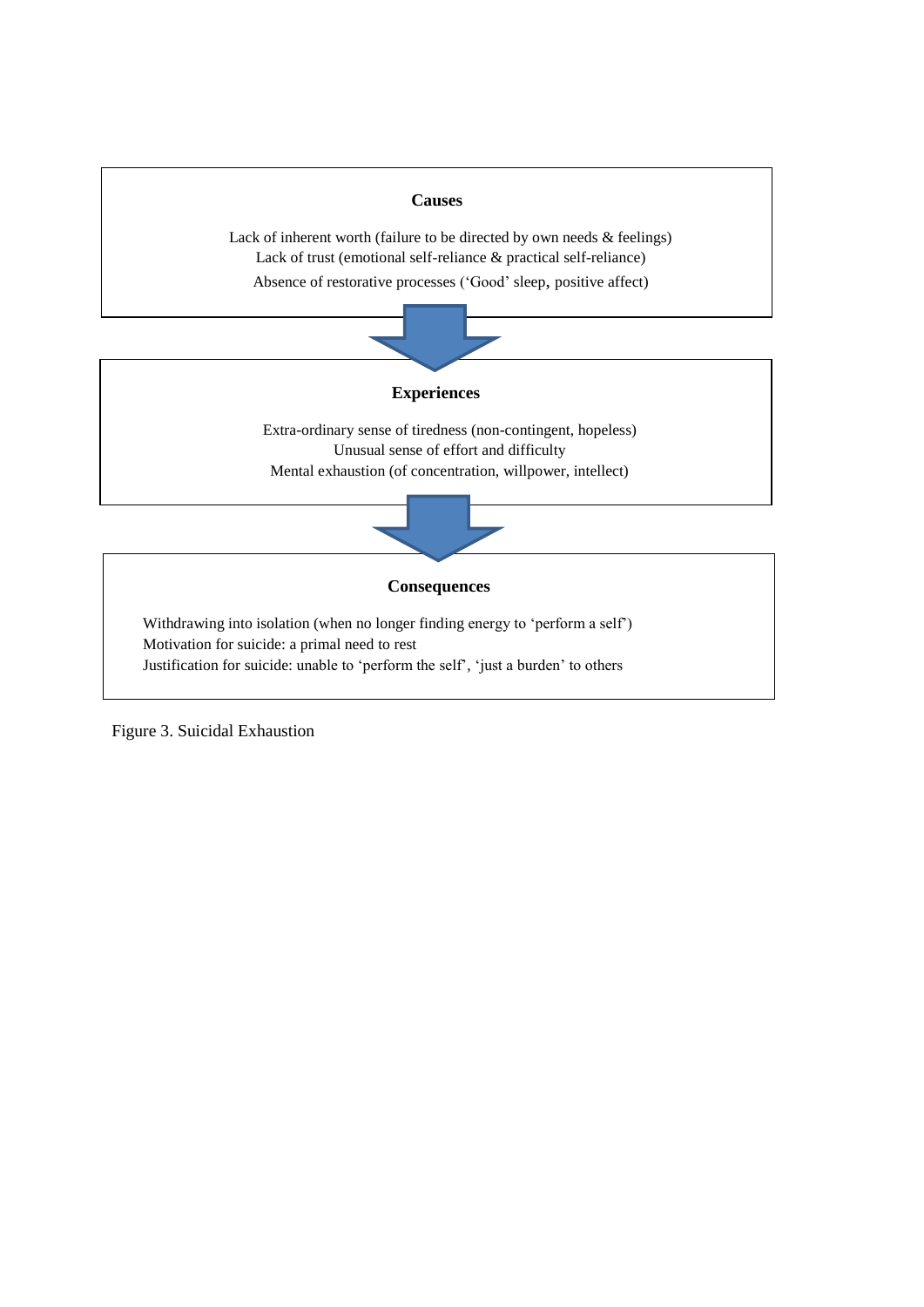

Figure 3. Suicidal Exhaustion